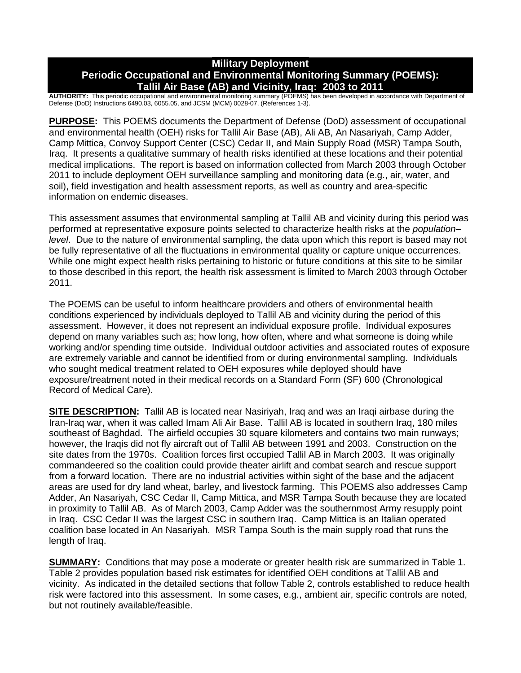# **Military Deployment Periodic Occupational and Environmental Monitoring Summary (POEMS): Tallil Air Base (AB) and Vicinity, Iraq: 2003 to 2011**

**AUTHORITY:** This periodic occupational and environmental monitoring summary (POEMS) has been developed in accordance with Department of Defense (DoD) Instructions 6490.03, 6055.05, and JCSM (MCM) 0028-07, (References 1-3).

**PURPOSE:** This POEMS documents the Department of Defense (DoD) assessment of occupational and environmental health (OEH) risks for Tallil Air Base (AB), Ali AB, An Nasariyah, Camp Adder, Camp Mittica, Convoy Support Center (CSC) Cedar II, and Main Supply Road (MSR) Tampa South, Iraq. It presents a qualitative summary of health risks identified at these locations and their potential medical implications. The report is based on information collected from March 2003 through October 2011 to include deployment OEH surveillance sampling and monitoring data (e.g., air, water, and soil), field investigation and health assessment reports, as well as country and area-specific information on endemic diseases.

This assessment assumes that environmental sampling at Tallil AB and vicinity during this period was performed at representative exposure points selected to characterize health risks at the *population– level*. Due to the nature of environmental sampling, the data upon which this report is based may not be fully representative of all the fluctuations in environmental quality or capture unique occurrences. While one might expect health risks pertaining to historic or future conditions at this site to be similar to those described in this report, the health risk assessment is limited to March 2003 through October 2011.

The POEMS can be useful to inform healthcare providers and others of environmental health conditions experienced by individuals deployed to Tallil AB and vicinity during the period of this assessment. However, it does not represent an individual exposure profile. Individual exposures depend on many variables such as; how long, how often, where and what someone is doing while working and/or spending time outside. Individual outdoor activities and associated routes of exposure are extremely variable and cannot be identified from or during environmental sampling. Individuals who sought medical treatment related to OEH exposures while deployed should have exposure/treatment noted in their medical records on a Standard Form (SF) 600 (Chronological Record of Medical Care).

**SITE DESCRIPTION:** Tallil AB is located near Nasiriyah, Iraq and was an Iraqi airbase during the Iran-Iraq war, when it was called Imam Ali Air Base. Tallil AB is located in southern Iraq, 180 miles southeast of Baghdad. The airfield occupies 30 square kilometers and contains two main runways; however, the Iraqis did not fly aircraft out of Tallil AB between 1991 and 2003. Construction on the site dates from the 1970s. Coalition forces first occupied Tallil AB in March 2003. It was originally commandeered so the coalition could provide theater airlift and combat search and rescue support from a forward location. There are no industrial activities within sight of the base and the adjacent areas are used for dry land wheat, barley, and livestock farming. This POEMS also addresses Camp Adder, An Nasariyah, CSC Cedar II, Camp Mittica, and MSR Tampa South because they are located in proximity to Tallil AB. As of March 2003, Camp Adder was the southernmost Army resupply point in Iraq. CSC Cedar II was the largest CSC in southern Iraq. Camp Mittica is an Italian operated coalition base located in An Nasariyah. MSR Tampa South is the main supply road that runs the length of Iraq.

**SUMMARY:** Conditions that may pose a moderate or greater health risk are summarized in Table 1. Table 2 provides population based risk estimates for identified OEH conditions at Tallil AB and vicinity. As indicated in the detailed sections that follow Table 2, controls established to reduce health risk were factored into this assessment. In some cases, e.g., ambient air, specific controls are noted, but not routinely available/feasible.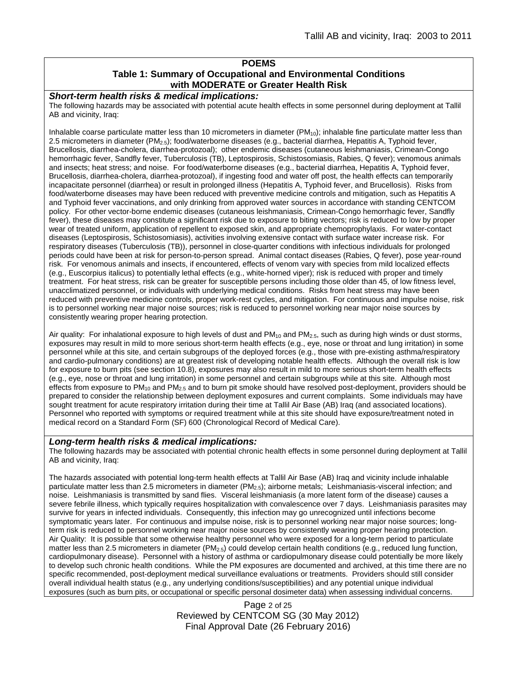### **POEMS Table 1: Summary of Occupational and Environmental Conditions with MODERATE or Greater Health Risk**

#### *Short-term health risks & medical implications:*

The following hazards may be associated with potential acute health effects in some personnel during deployment at Tallil AB and vicinity, Iraq:

Inhalable coarse particulate matter less than 10 micrometers in diameter  $(PM_{10})$ ; inhalable fine particulate matter less than 2.5 micrometers in diameter (PM2.5); food/waterborne diseases (e.g., bacterial diarrhea, Hepatitis A, Typhoid fever, Brucellosis, diarrhea-cholera, diarrhea-protozoal); other endemic diseases (cutaneous leishmaniasis, Crimean-Congo hemorrhagic fever, Sandfly fever, Tuberculosis (TB), Leptospirosis, Schistosomiasis, Rabies, Q fever); venomous animals and insects; heat stress; and noise. For food/waterborne diseases (e.g., bacterial diarrhea, Hepatitis A, Typhoid fever, Brucellosis, diarrhea-cholera, diarrhea-protozoal), if ingesting food and water off post, the health effects can temporarily incapacitate personnel (diarrhea) or result in prolonged illness (Hepatitis A, Typhoid fever, and Brucellosis). Risks from food/waterborne diseases may have been reduced with preventive medicine controls and mitigation, such as Hepatitis A and Typhoid fever vaccinations, and only drinking from approved water sources in accordance with standing CENTCOM policy. For other vector-borne endemic diseases (cutaneous leishmaniasis, Crimean-Congo hemorrhagic fever, Sandfly fever), these diseases may constitute a significant risk due to exposure to biting vectors; risk is reduced to low by proper wear of treated uniform, application of repellent to exposed skin, and appropriate chemoprophylaxis. For water-contact diseases (Leptospirosis, Schistosomiasis), activities involving extensive contact with surface water increase risk. For respiratory diseases (Tuberculosis (TB)), personnel in close-quarter conditions with infectious individuals for prolonged periods could have been at risk for person-to-person spread. Animal contact diseases (Rabies, Q fever), pose year-round risk. For venomous animals and insects, if encountered, effects of venom vary with species from mild localized effects (e.g., Euscorpius italicus) to potentially lethal effects (e.g., white-horned viper); risk is reduced with proper and timely treatment. For heat stress, risk can be greater for susceptible persons including those older than 45, of low fitness level, unacclimatized personnel, or individuals with underlying medical conditions. Risks from heat stress may have been reduced with preventive medicine controls, proper work-rest cycles, and mitigation. For continuous and impulse noise, risk is to personnel working near major noise sources; risk is reduced to personnel working near major noise sources by consistently wearing proper hearing protection.

Air quality: For inhalational exposure to high levels of dust and  $PM_{10}$  and  $PM_{2.5}$ , such as during high winds or dust storms, exposures may result in mild to more serious short-term health effects (e.g., eye, nose or throat and lung irritation) in some personnel while at this site, and certain subgroups of the deployed forces (e.g., those with pre-existing asthma/respiratory and cardio-pulmonary conditions) are at greatest risk of developing notable health effects. Although the overall risk is low for exposure to burn pits (see section 10.8), exposures may also result in mild to more serious short-term health effects (e.g., eye, nose or throat and lung irritation) in some personnel and certain subgroups while at this site. Although most effects from exposure to PM<sub>10</sub> and PM<sub>2.5</sub> and to burn pit smoke should have resolved post-deployment, providers should be prepared to consider the relationship between deployment exposures and current complaints. Some individuals may have sought treatment for acute respiratory irritation during their time at Tallil Air Base (AB) Iraq (and associated locations). Personnel who reported with symptoms or required treatment while at this site should have exposure/treatment noted in medical record on a Standard Form (SF) 600 (Chronological Record of Medical Care).

#### *Long-term health risks & medical implications:*

The following hazards may be associated with potential chronic health effects in some personnel during deployment at Tallil AB and vicinity, Iraq:

The hazards associated with potential long-term health effects at Tallil Air Base (AB) Iraq and vicinity include inhalable particulate matter less than 2.5 micrometers in diameter (PM<sub>2.5</sub>); airborne metals; Leishmaniasis-visceral infection; and noise. Leishmaniasis is transmitted by sand flies. Visceral leishmaniasis (a more latent form of the disease) causes a severe febrile illness, which typically requires hospitalization with convalescence over 7 days. Leishmaniasis parasites may survive for years in infected individuals. Consequently, this infection may go unrecognized until infections become symptomatic years later. For continuous and impulse noise, risk is to personnel working near major noise sources; longterm risk is reduced to personnel working near major noise sources by consistently wearing proper hearing protection. Air Quality: It is possible that some otherwise healthy personnel who were exposed for a long-term period to particulate matter less than 2.5 micrometers in diameter (PM<sub>2.5</sub>) could develop certain health conditions (e.g., reduced lung function, cardiopulmonary disease). Personnel with a history of asthma or cardiopulmonary disease could potentially be more likely to develop such chronic health conditions. While the PM exposures are documented and archived, at this time there are no specific recommended, post-deployment medical surveillance evaluations or treatments. Providers should still consider overall individual health status (e.g., any underlying conditions/susceptibilities) and any potential unique individual exposures (such as burn pits, or occupational or specific personal dosimeter data) when assessing individual concerns.

> Page 2 of 25 Reviewed by CENTCOM SG (30 May 2012) Final Approval Date (26 February 2016)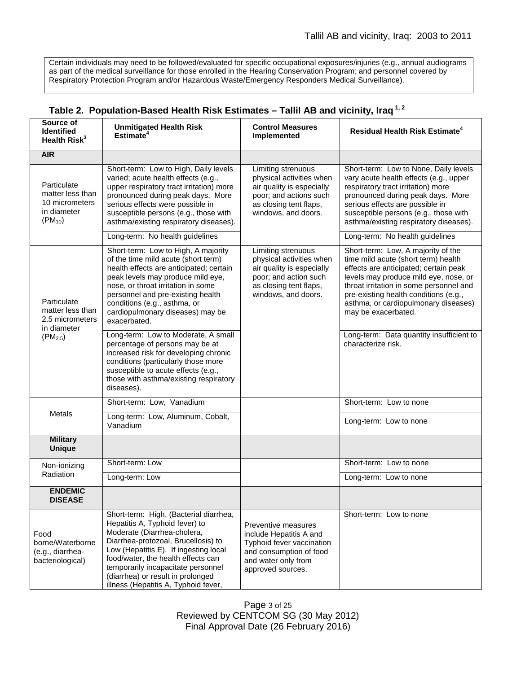Certain individuals may need to be followed/evaluated for specific occupational exposures/injuries (e.g., annual audiograms as part of the medical surveillance for those enrolled in the Hearing Conservation Program; and personnel covered by Respiratory Protection Program and/or Hazardous Waste/Emergency Responders Medical Surveillance).

| Source of<br><b>Identified</b><br>Health Risk <sup>3</sup>                        | <b>Unmitigated Health Risk</b><br>Estimate <sup>4</sup>                                                                                                                                                                                                                                                                                          | <b>Control Measures</b><br>Implemented                                                                                                                 | Residual Health Risk Estimate <sup>4</sup>                                                                                                                                                                                                                                                                     |
|-----------------------------------------------------------------------------------|--------------------------------------------------------------------------------------------------------------------------------------------------------------------------------------------------------------------------------------------------------------------------------------------------------------------------------------------------|--------------------------------------------------------------------------------------------------------------------------------------------------------|----------------------------------------------------------------------------------------------------------------------------------------------------------------------------------------------------------------------------------------------------------------------------------------------------------------|
| <b>AIR</b>                                                                        |                                                                                                                                                                                                                                                                                                                                                  |                                                                                                                                                        |                                                                                                                                                                                                                                                                                                                |
| Particulate<br>matter less than<br>10 micrometers<br>in diameter<br>$(PM_{10})$   | Short-term: Low to High, Daily levels<br>varied; acute health effects (e.g.,<br>upper respiratory tract irritation) more<br>pronounced during peak days. More<br>serious effects were possible in<br>susceptible persons (e.g., those with<br>asthma/existing respiratory diseases).                                                             | Limiting strenuous<br>physical activities when<br>air quality is especially<br>poor; and actions such<br>as closing tent flaps,<br>windows, and doors. | Short-term: Low to None, Daily levels<br>vary acute health effects (e.g., upper<br>respiratory tract irritation) more<br>pronounced during peak days. More<br>serious effects are possible in<br>susceptible persons (e.g., those with<br>asthma/existing respiratory diseases).                               |
|                                                                                   | Long-term: No health guidelines                                                                                                                                                                                                                                                                                                                  |                                                                                                                                                        | Long-term: No health guidelines                                                                                                                                                                                                                                                                                |
| Particulate<br>matter less than<br>2.5 micrometers<br>in diameter<br>$(PM_{2.5})$ | Short-term: Low to High, A majority<br>of the time mild acute (short term)<br>health effects are anticipated; certain<br>peak levels may produce mild eye,<br>nose, or throat irritation in some<br>personnel and pre-existing health<br>conditions (e.g., asthma, or<br>cardiopulmonary diseases) may be<br>exacerbated.                        | Limiting strenuous<br>physical activities when<br>air quality is especially<br>poor; and action such<br>as closing tent flaps,<br>windows, and doors.  | Short-term: Low, A majority of the<br>time mild acute (short term) health<br>effects are anticipated; certain peak<br>levels may produce mild eye, nose, or<br>throat irritation in some personnel and<br>pre-existing health conditions (e.g.,<br>asthma, or cardiopulmonary diseases)<br>may be exacerbated. |
|                                                                                   | Long-term: Low to Moderate, A small<br>percentage of persons may be at<br>increased risk for developing chronic<br>conditions (particularly those more<br>susceptible to acute effects (e.g.,<br>those with asthma/existing respiratory<br>diseases).                                                                                            |                                                                                                                                                        | Long-term: Data quantity insufficient to<br>characterize risk.                                                                                                                                                                                                                                                 |
|                                                                                   | Short-term: Low, Vanadium                                                                                                                                                                                                                                                                                                                        |                                                                                                                                                        | Short-term: Low to none                                                                                                                                                                                                                                                                                        |
| <b>Metals</b>                                                                     | Long-term: Low, Aluminum, Cobalt,<br>Vanadium                                                                                                                                                                                                                                                                                                    |                                                                                                                                                        | Long-term: Low to none                                                                                                                                                                                                                                                                                         |
| <b>Military</b><br><b>Unique</b>                                                  |                                                                                                                                                                                                                                                                                                                                                  |                                                                                                                                                        |                                                                                                                                                                                                                                                                                                                |
| Non-ionizing<br>Radiation                                                         | Short-term: Low                                                                                                                                                                                                                                                                                                                                  |                                                                                                                                                        | Short-term: Low to none                                                                                                                                                                                                                                                                                        |
|                                                                                   | Long-term: Low                                                                                                                                                                                                                                                                                                                                   |                                                                                                                                                        | Long-term: Low to none                                                                                                                                                                                                                                                                                         |
| <b>ENDEMIC</b><br><b>DISEASE</b>                                                  |                                                                                                                                                                                                                                                                                                                                                  |                                                                                                                                                        |                                                                                                                                                                                                                                                                                                                |
| Food<br>borne/Waterborne<br>(e.g., diarrhea-<br>bacteriological)                  | Short-term: High, (Bacterial diarrhea,<br>Hepatitis A, Typhoid fever) to<br>Moderate (Diarrhea-cholera,<br>Diarrhea-protozoal, Brucellosis) to<br>Low (Hepatitis E). If ingesting local<br>food/water, the health effects can<br>temporarily incapacitate personnel<br>(diarrhea) or result in prolonged<br>illness (Hepatitis A, Typhoid fever, | Preventive measures<br>include Hepatitis A and<br>Typhoid fever vaccination<br>and consumption of food<br>and water only from<br>approved sources.     | Short-term: Low to none                                                                                                                                                                                                                                                                                        |

# **Table 2. Population-Based Health Risk Estimates – Tallil AB and vicinity, Iraq 1, 2**

Page 3 of 25 Reviewed by CENTCOM SG (30 May 2012) Final Approval Date (26 February 2016)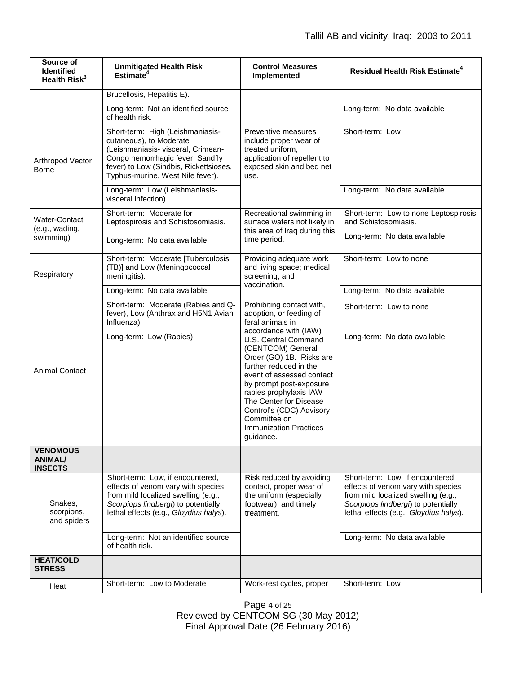| Source of<br><b>Identified</b><br>Health Risk <sup>3</sup> | <b>Unmitigated Health Risk</b><br>Estimate <sup>4</sup>                                                                                                                                                             | <b>Control Measures</b><br>Implemented                                                                                                                                                                                                                                                                                                                                                                     | <b>Residual Health Risk Estimate<sup>4</sup></b>                                                                                                                                               |
|------------------------------------------------------------|---------------------------------------------------------------------------------------------------------------------------------------------------------------------------------------------------------------------|------------------------------------------------------------------------------------------------------------------------------------------------------------------------------------------------------------------------------------------------------------------------------------------------------------------------------------------------------------------------------------------------------------|------------------------------------------------------------------------------------------------------------------------------------------------------------------------------------------------|
|                                                            | Brucellosis, Hepatitis E).                                                                                                                                                                                          |                                                                                                                                                                                                                                                                                                                                                                                                            |                                                                                                                                                                                                |
|                                                            | Long-term: Not an identified source<br>of health risk.                                                                                                                                                              |                                                                                                                                                                                                                                                                                                                                                                                                            | Long-term: No data available                                                                                                                                                                   |
| Arthropod Vector<br><b>Borne</b>                           | Short-term: High (Leishmaniasis-<br>cutaneous), to Moderate<br>(Leishmaniasis- visceral, Crimean-<br>Congo hemorrhagic fever, Sandfly<br>fever) to Low (Sindbis, Rickettsioses,<br>Typhus-murine, West Nile fever). | Preventive measures<br>include proper wear of<br>treated uniform.<br>application of repellent to<br>exposed skin and bed net<br>use.                                                                                                                                                                                                                                                                       | Short-term: Low                                                                                                                                                                                |
|                                                            | Long-term: Low (Leishmaniasis-<br>visceral infection)                                                                                                                                                               |                                                                                                                                                                                                                                                                                                                                                                                                            | Long-term: No data available                                                                                                                                                                   |
| Water-Contact<br>(e.g., wading,<br>swimming)               | Short-term: Moderate for<br>Leptospirosis and Schistosomiasis.                                                                                                                                                      | Recreational swimming in<br>surface waters not likely in<br>this area of Iraq during this<br>time period.                                                                                                                                                                                                                                                                                                  | Short-term: Low to none Leptospirosis<br>and Schistosomiasis.                                                                                                                                  |
|                                                            | Long-term: No data available                                                                                                                                                                                        |                                                                                                                                                                                                                                                                                                                                                                                                            | Long-term: No data available                                                                                                                                                                   |
| Respiratory                                                | Short-term: Moderate [Tuberculosis<br>(TB)] and Low (Meningococcal<br>meningitis).                                                                                                                                  | Providing adequate work<br>and living space; medical<br>screening, and<br>vaccination.                                                                                                                                                                                                                                                                                                                     | Short-term: Low to none                                                                                                                                                                        |
|                                                            | Long-term: No data available                                                                                                                                                                                        |                                                                                                                                                                                                                                                                                                                                                                                                            | Long-term: No data available                                                                                                                                                                   |
| <b>Animal Contact</b>                                      | Short-term: Moderate (Rabies and Q-<br>fever), Low (Anthrax and H5N1 Avian<br>Influenza)                                                                                                                            | Prohibiting contact with,<br>adoption, or feeding of<br>feral animals in<br>accordance with (IAW)<br>U.S. Central Command<br>(CENTCOM) General<br>Order (GO) 1B. Risks are<br>further reduced in the<br>event of assessed contact<br>by prompt post-exposure<br>rabies prophylaxis IAW<br>The Center for Disease<br>Control's (CDC) Advisory<br>Committee on<br><b>Immunization Practices</b><br>guidance. | Short-term: Low to none                                                                                                                                                                        |
|                                                            | Long-term: Low (Rabies)                                                                                                                                                                                             |                                                                                                                                                                                                                                                                                                                                                                                                            | Long-term: No data available                                                                                                                                                                   |
| <b>VENOMOUS</b><br><b>ANIMAL/</b><br><b>INSECTS</b>        |                                                                                                                                                                                                                     |                                                                                                                                                                                                                                                                                                                                                                                                            |                                                                                                                                                                                                |
| Snakes,<br>scorpions,<br>and spiders                       | Short-term: Low, if encountered,<br>effects of venom vary with species<br>from mild localized swelling (e.g.,<br>Scorpiops lindbergi) to potentially<br>lethal effects (e.g., Gloydius halys).                      | Risk reduced by avoiding<br>contact, proper wear of<br>the uniform (especially<br>footwear), and timely<br>treatment.                                                                                                                                                                                                                                                                                      | Short-term: Low, if encountered,<br>effects of venom vary with species<br>from mild localized swelling (e.g.,<br>Scorpiops lindbergi) to potentially<br>lethal effects (e.g., Gloydius halys). |
|                                                            | Long-term: Not an identified source<br>of health risk.                                                                                                                                                              |                                                                                                                                                                                                                                                                                                                                                                                                            | Long-term: No data available                                                                                                                                                                   |
| <b>HEAT/COLD</b><br><b>STRESS</b>                          |                                                                                                                                                                                                                     |                                                                                                                                                                                                                                                                                                                                                                                                            |                                                                                                                                                                                                |
| Heat                                                       | Short-term: Low to Moderate                                                                                                                                                                                         | Work-rest cycles, proper                                                                                                                                                                                                                                                                                                                                                                                   | Short-term: Low                                                                                                                                                                                |

Page 4 of 25 Reviewed by CENTCOM SG (30 May 2012) Final Approval Date (26 February 2016)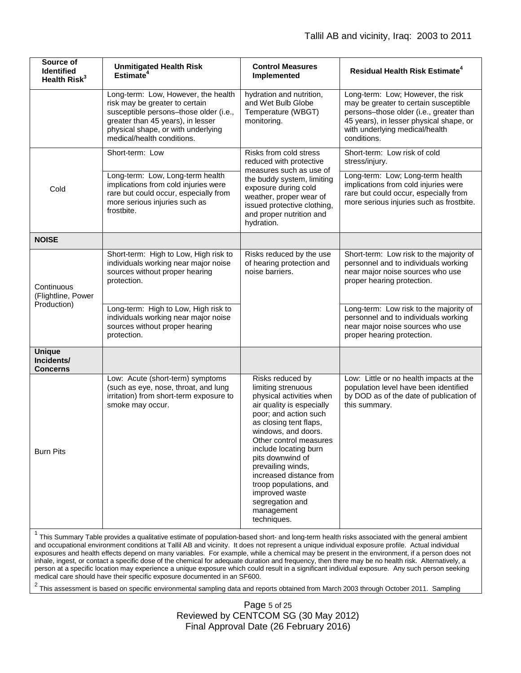| Source of<br><b>Identified</b><br>Health Risk <sup>3</sup> | <b>Unmitigated Health Risk</b><br>Estimate <sup>4</sup>                                                                                                                                                                  | <b>Control Measures</b><br>Implemented                                                                                                                                                                                                                                                                                                                                                       | Residual Health Risk Estimate <sup>4</sup>                                                                                                                                                                        |
|------------------------------------------------------------|--------------------------------------------------------------------------------------------------------------------------------------------------------------------------------------------------------------------------|----------------------------------------------------------------------------------------------------------------------------------------------------------------------------------------------------------------------------------------------------------------------------------------------------------------------------------------------------------------------------------------------|-------------------------------------------------------------------------------------------------------------------------------------------------------------------------------------------------------------------|
|                                                            | Long-term: Low, However, the health<br>risk may be greater to certain<br>susceptible persons-those older (i.e.,<br>greater than 45 years), in lesser<br>physical shape, or with underlying<br>medical/health conditions. | hydration and nutrition,<br>and Wet Bulb Globe<br>Temperature (WBGT)<br>monitoring.                                                                                                                                                                                                                                                                                                          | Long-term: Low; However, the risk<br>may be greater to certain susceptible<br>persons-those older (i.e., greater than<br>45 years), in lesser physical shape, or<br>with underlying medical/health<br>conditions. |
| Cold                                                       | Short-term: Low                                                                                                                                                                                                          | Risks from cold stress<br>reduced with protective<br>measures such as use of<br>the buddy system, limiting<br>exposure during cold<br>weather, proper wear of<br>issued protective clothing,<br>and proper nutrition and<br>hydration.                                                                                                                                                       | Short-term: Low risk of cold<br>stress/injury.                                                                                                                                                                    |
|                                                            | Long-term: Low, Long-term health<br>implications from cold injuries were<br>rare but could occur, especially from<br>more serious injuries such as<br>frostbite.                                                         |                                                                                                                                                                                                                                                                                                                                                                                              | Long-term: Low; Long-term health<br>implications from cold injuries were<br>rare but could occur, especially from<br>more serious injuries such as frostbite.                                                     |
| <b>NOISE</b>                                               |                                                                                                                                                                                                                          |                                                                                                                                                                                                                                                                                                                                                                                              |                                                                                                                                                                                                                   |
| Continuous<br>(Flightline, Power<br>Production)            | Short-term: High to Low, High risk to<br>individuals working near major noise<br>sources without proper hearing<br>protection.                                                                                           | Risks reduced by the use<br>of hearing protection and<br>noise barriers.                                                                                                                                                                                                                                                                                                                     | Short-term: Low risk to the majority of<br>personnel and to individuals working<br>near major noise sources who use<br>proper hearing protection.                                                                 |
|                                                            | Long-term: High to Low, High risk to<br>individuals working near major noise<br>sources without proper hearing<br>protection.                                                                                            |                                                                                                                                                                                                                                                                                                                                                                                              | Long-term: Low risk to the majority of<br>personnel and to individuals working<br>near major noise sources who use<br>proper hearing protection.                                                                  |
| <b>Unique</b><br>Incidents/<br><b>Concerns</b>             |                                                                                                                                                                                                                          |                                                                                                                                                                                                                                                                                                                                                                                              |                                                                                                                                                                                                                   |
| <b>Burn Pits</b>                                           | Low: Acute (short-term) symptoms<br>(such as eye, nose, throat, and lung<br>irritation) from short-term exposure to<br>smoke may occur.                                                                                  | Risks reduced by<br>limiting strenuous<br>physical activities when<br>air quality is especially<br>poor; and action such<br>as closing tent flaps,<br>windows, and doors.<br>Other control measures<br>include locating burn<br>pits downwind of<br>prevailing winds,<br>increased distance from<br>troop populations, and<br>improved waste<br>segregation and<br>management<br>techniques. | Low: Little or no health impacts at the<br>population level have been identified<br>by DOD as of the date of publication of<br>this summary.                                                                      |

<sup>1</sup> This Summary Table provides a qualitative estimate of population-based short- and long-term health risks associated with the general ambient and occupational environment conditions at Tallil AB and vicinity. It does not represent a unique individual exposure profile. Actual individual exposures and health effects depend on many variables. For example, while a chemical may be present in the environment, if a person does not inhale, ingest, or contact a specific dose of the chemical for adequate duration and frequency, then there may be no health risk. Alternatively, a person at a specific location may experience a unique exposure which could result in a significant individual exposure. Any such person seeking medical care should have their specific exposure documented in an SF600.

<sup>2</sup> This assessment is based on specific environmental sampling data and reports obtained from March 2003 through October 2011. Sampling

Page 5 of 25 Reviewed by CENTCOM SG (30 May 2012) Final Approval Date (26 February 2016)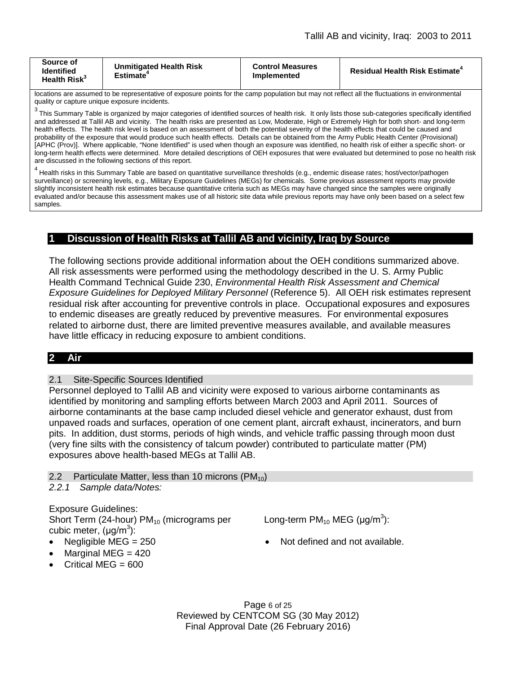| Source of<br>Identified<br>Health Risk <sup>3</sup> | <b>Unmitigated Health Risk</b><br><b>Estimate</b> | <b>Control Measures</b><br>Implemented | <b>Residual Health Risk Estimate<sup>4</sup></b> |
|-----------------------------------------------------|---------------------------------------------------|----------------------------------------|--------------------------------------------------|
|-----------------------------------------------------|---------------------------------------------------|----------------------------------------|--------------------------------------------------|

locations are assumed to be representative of exposure points for the camp population but may not reflect all the fluctuations in environmental quality or capture unique exposure incidents.

<sup>3</sup> This Summary Table is organized by major categories of identified sources of health risk. It only lists those sub-categories specifically identified and addressed at Tallil AB and vicinity. The health risks are presented as Low, Moderate, High or Extremely High for both short- and long-term health effects. The health risk level is based on an assessment of both the potential severity of the health effects that could be caused and probability of the exposure that would produce such health effects. Details can be obtained from the Army Public Health Center (Provisional) [APHC (Prov)]. Where applicable, "None Identified" is used when though an exposure was identified, no health risk of either a specific short- or long-term health effects were determined. More detailed descriptions of OEH exposures that were evaluated but determined to pose no health risk are discussed in the following sections of this report.

 $^4$  Health risks in this Summary Table are based on quantitative surveillance thresholds (e.g., endemic disease rates; host/vector/pathogen surveillance) or screening levels, e.g., Military Exposure Guidelines (MEGs) for chemicals*.* Some previous assessment reports may provide slightly inconsistent health risk estimates because quantitative criteria such as MEGs may have changed since the samples were originally evaluated and/or because this assessment makes use of all historic site data while previous reports may have only been based on a select few samples.

### **1 Discussion of Health Risks at Tallil AB and vicinity, Iraq by Source**

The following sections provide additional information about the OEH conditions summarized above. All risk assessments were performed using the methodology described in the U. S. Army Public Health Command Technical Guide 230, *Environmental Health Risk Assessment and Chemical Exposure Guidelines for Deployed Military Personnel* (Reference 5). All OEH risk estimates represent residual risk after accounting for preventive controls in place. Occupational exposures and exposures to endemic diseases are greatly reduced by preventive measures. For environmental exposures related to airborne dust, there are limited preventive measures available, and available measures have little efficacy in reducing exposure to ambient conditions.

### **2 Air**

#### 2.1 Site-Specific Sources Identified

Personnel deployed to Tallil AB and vicinity were exposed to various airborne contaminants as identified by monitoring and sampling efforts between March 2003 and April 2011. Sources of airborne contaminants at the base camp included diesel vehicle and generator exhaust, dust from unpaved roads and surfaces, operation of one cement plant, aircraft exhaust, incinerators, and burn pits. In addition, dust storms, periods of high winds, and vehicle traffic passing through moon dust (very fine silts with the consistency of talcum powder) contributed to particulate matter (PM) exposures above health-based MEGs at Tallil AB.

- 2.2 Particulate Matter, less than 10 microns  $(PM_{10})$
- *2.2.1 Sample data/Notes:*

Exposure Guidelines: Short Term (24-hour)  $PM_{10}$  (micrograms per cubic meter, (µg/m<sup>3</sup>):

- 
- Marginal MEG  $= 420$
- Critical MEG = 600

Long-term  $PM_{10}$  MEG ( $\mu$ g/m<sup>3</sup>):

• Negligible MEG = 250 • Not defined and not available.

Page 6 of 25 Reviewed by CENTCOM SG (30 May 2012) Final Approval Date (26 February 2016)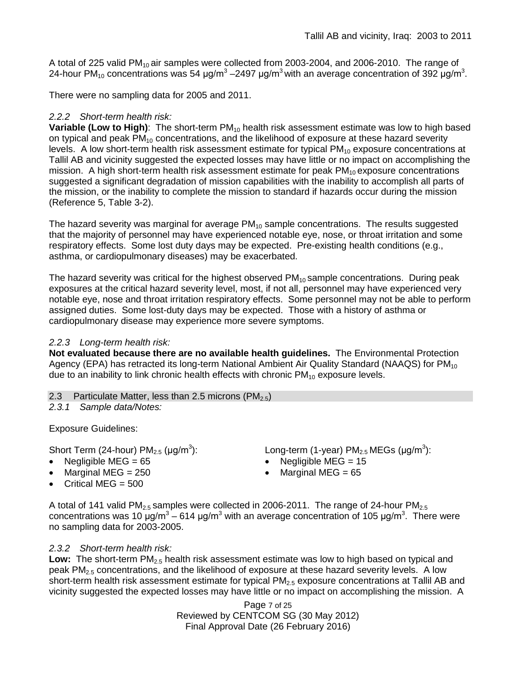A total of 225 valid  $PM_{10}$  air samples were collected from 2003-2004, and 2006-2010. The range of 24-hour PM<sub>10</sub> concentrations was 54 μg/m<sup>3</sup> –2497 μg/m<sup>3</sup> with an average concentration of 392 μg/m<sup>3</sup>.

There were no sampling data for 2005 and 2011.

# *2.2.2 Short-term health risk:*

**Variable (Low to High):** The short-term PM<sub>10</sub> health risk assessment estimate was low to high based on typical and peak  $PM_{10}$  concentrations, and the likelihood of exposure at these hazard severity levels. A low short-term health risk assessment estimate for typical  $PM_{10}$  exposure concentrations at Tallil AB and vicinity suggested the expected losses may have little or no impact on accomplishing the mission. A high short-term health risk assessment estimate for peak  $PM_{10}$  exposure concentrations suggested a significant degradation of mission capabilities with the inability to accomplish all parts of the mission, or the inability to complete the mission to standard if hazards occur during the mission (Reference 5, Table 3-2).

The hazard severity was marginal for average  $PM_{10}$  sample concentrations. The results suggested that the majority of personnel may have experienced notable eye, nose, or throat irritation and some respiratory effects. Some lost duty days may be expected. Pre-existing health conditions (e.g., asthma, or cardiopulmonary diseases) may be exacerbated.

The hazard severity was critical for the highest observed  $PM_{10}$  sample concentrations. During peak exposures at the critical hazard severity level, most, if not all, personnel may have experienced very notable eye, nose and throat irritation respiratory effects. Some personnel may not be able to perform assigned duties. Some lost-duty days may be expected. Those with a history of asthma or cardiopulmonary disease may experience more severe symptoms.

### *2.2.3 Long-term health risk:*

**Not evaluated because there are no available health guidelines.** The Environmental Protection Agency (EPA) has retracted its long-term National Ambient Air Quality Standard (NAAQS) for PM<sub>10</sub> due to an inability to link chronic health effects with chronic  $PM_{10}$  exposure levels.

2.3 Particulate Matter, less than 2.5 microns (PM<sub>2.5</sub>)

*2.3.1 Sample data/Notes:*

Exposure Guidelines:

Short Term (24-hour)  $PM_{2.5}$  ( $\mu$ g/m<sup>3</sup>):

- 
- Marginal MEG = 250 **•** Marginal MEG = 65
- Critical MEG  $= 500$

):  $\blacksquare$  Long-term (1-year) PM<sub>2.5</sub> MEGs (µg/m<sup>3</sup>):

- Negligible MEG =  $65$  Negligible MEG =  $15$ 
	-

A total of 141 valid PM<sub>2.5</sub> samples were collected in 2006-2011. The range of 24-hour PM<sub>2.5</sub> concentrations was 10 μg/m<sup>3</sup> – 614 μg/m<sup>3</sup> with an average concentration of 105 μg/m<sup>3</sup>. There were no sampling data for 2003-2005.

# *2.3.2 Short-term health risk:*

**Low:** The short-term PM<sub>2.5</sub> health risk assessment estimate was low to high based on typical and peak  $PM<sub>2.5</sub>$  concentrations, and the likelihood of exposure at these hazard severity levels. A low short-term health risk assessment estimate for typical PM<sub>2.5</sub> exposure concentrations at Tallil AB and vicinity suggested the expected losses may have little or no impact on accomplishing the mission. A

> Page 7 of 25 Reviewed by CENTCOM SG (30 May 2012) Final Approval Date (26 February 2016)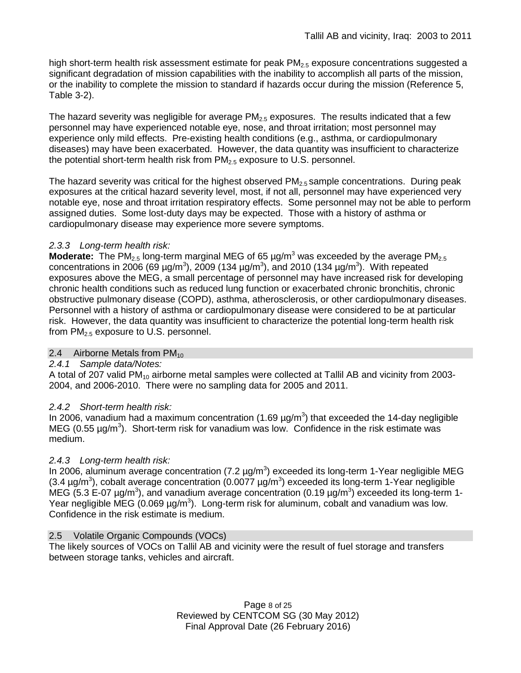high short-term health risk assessment estimate for peak  $PM<sub>2.5</sub>$  exposure concentrations suggested a significant degradation of mission capabilities with the inability to accomplish all parts of the mission, or the inability to complete the mission to standard if hazards occur during the mission (Reference 5, Table 3-2).

The hazard severity was negligible for average  $PM<sub>2.5</sub>$  exposures. The results indicated that a few personnel may have experienced notable eye, nose, and throat irritation; most personnel may experience only mild effects. Pre-existing health conditions (e.g., asthma, or cardiopulmonary diseases) may have been exacerbated. However, the data quantity was insufficient to characterize the potential short-term health risk from  $PM<sub>2.5</sub>$  exposure to U.S. personnel.

The hazard severity was critical for the highest observed  $PM<sub>2.5</sub>$  sample concentrations. During peak exposures at the critical hazard severity level, most, if not all, personnel may have experienced very notable eye, nose and throat irritation respiratory effects. Some personnel may not be able to perform assigned duties. Some lost-duty days may be expected. Those with a history of asthma or cardiopulmonary disease may experience more severe symptoms.

# *2.3.3 Long-term health risk:*

**Moderate:** The PM<sub>2.5</sub> long-term marginal MEG of 65  $\mu$ g/m<sup>3</sup> was exceeded by the average PM<sub>2.5</sub> concentrations in 2006 (69  $\mu$ g/m<sup>3</sup>), 2009 (134  $\mu$ g/m<sup>3</sup>), and 2010 (134  $\mu$ g/m<sup>3</sup>). With repeated exposures above the MEG, a small percentage of personnel may have increased risk for developing chronic health conditions such as reduced lung function or exacerbated chronic bronchitis, chronic obstructive pulmonary disease (COPD), asthma, atherosclerosis, or other cardiopulmonary diseases. Personnel with a history of asthma or cardiopulmonary disease were considered to be at particular risk. However, the data quantity was insufficient to characterize the potential long-term health risk from PM<sub>2.5</sub> exposure to U.S. personnel.

# 2.4 Airborne Metals from  $PM_{10}$

### *2.4.1 Sample data/Notes:*

A total of 207 valid  $PM_{10}$  airborne metal samples were collected at Tallil AB and vicinity from 2003-2004, and 2006-2010. There were no sampling data for 2005 and 2011.

# *2.4.2 Short-term health risk:*

In 2006, vanadium had a maximum concentration (1.69  $\mu$ g/m<sup>3</sup>) that exceeded the 14-day negligible MEG (0.55  $\mu$ g/m<sup>3</sup>). Short-term risk for vanadium was low. Confidence in the risk estimate was medium.

# *2.4.3 Long-term health risk:*

In 2006, aluminum average concentration (7.2  $\mu$ g/m<sup>3</sup>) exceeded its long-term 1-Year negligible MEG (3.4  $\mu$ g/m<sup>3</sup>), cobalt average concentration (0.0077  $\mu$ g/m<sup>3</sup>) exceeded its long-term 1-Year negligible MEG (5.3 E-07  $\mu$ g/m<sup>3</sup>), and vanadium average concentration (0.19  $\mu$ g/m<sup>3</sup>) exceeded its long-term 1-Year negligible MEG (0.069  $\mu$ g/m<sup>3</sup>). Long-term risk for aluminum, cobalt and vanadium was low. Confidence in the risk estimate is medium.

### 2.5 Volatile Organic Compounds (VOCs)

The likely sources of VOCs on Tallil AB and vicinity were the result of fuel storage and transfers between storage tanks, vehicles and aircraft.

> Page 8 of 25 Reviewed by CENTCOM SG (30 May 2012) Final Approval Date (26 February 2016)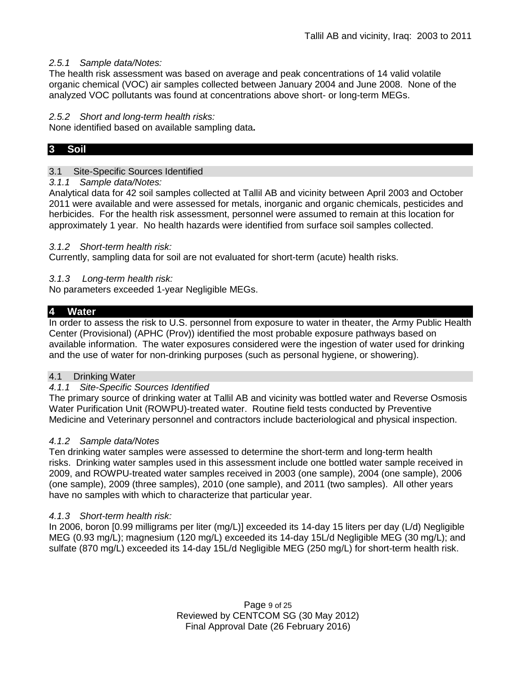### *2.5.1 Sample data/Notes:*

The health risk assessment was based on average and peak concentrations of 14 valid volatile organic chemical (VOC) air samples collected between January 2004 and June 2008. None of the analyzed VOC pollutants was found at concentrations above short- or long-term MEGs.

#### *2.5.2 Short and long-term health risks:*

None identified based on available sampling data**.** 

# **3 Soil**

#### 3.1 Site-Specific Sources Identified

#### *3.1.1 Sample data/Notes:*

Analytical data for 42 soil samples collected at Tallil AB and vicinity between April 2003 and October 2011 were available and were assessed for metals, inorganic and organic chemicals, pesticides and herbicides. For the health risk assessment, personnel were assumed to remain at this location for approximately 1 year. No health hazards were identified from surface soil samples collected.

#### *3.1.2 Short-term health risk:*

Currently, sampling data for soil are not evaluated for short-term (acute) health risks.

#### *3.1.3 Long-term health risk:*

No parameters exceeded 1-year Negligible MEGs.

#### **4 Water**

In order to assess the risk to U.S. personnel from exposure to water in theater, the Army Public Health Center (Provisional) (APHC (Prov)) identified the most probable exposure pathways based on available information. The water exposures considered were the ingestion of water used for drinking and the use of water for non-drinking purposes (such as personal hygiene, or showering).

#### 4.1 Drinking Water

#### *4.1.1 Site-Specific Sources Identified*

The primary source of drinking water at Tallil AB and vicinity was bottled water and Reverse Osmosis Water Purification Unit (ROWPU)-treated water. Routine field tests conducted by Preventive Medicine and Veterinary personnel and contractors include bacteriological and physical inspection.

#### *4.1.2 Sample data/Notes*

Ten drinking water samples were assessed to determine the short-term and long-term health risks. Drinking water samples used in this assessment include one bottled water sample received in 2009, and ROWPU-treated water samples received in 2003 (one sample), 2004 (one sample), 2006 (one sample), 2009 (three samples), 2010 (one sample), and 2011 (two samples). All other years have no samples with which to characterize that particular year.

#### *4.1.3 Short-term health risk:*

In 2006, boron [0.99 milligrams per liter (mg/L)] exceeded its 14-day 15 liters per day (L/d) Negligible MEG (0.93 mg/L); magnesium (120 mg/L) exceeded its 14-day 15L/d Negligible MEG (30 mg/L); and sulfate (870 mg/L) exceeded its 14-day 15L/d Negligible MEG (250 mg/L) for short-term health risk.

> Page 9 of 25 Reviewed by CENTCOM SG (30 May 2012) Final Approval Date (26 February 2016)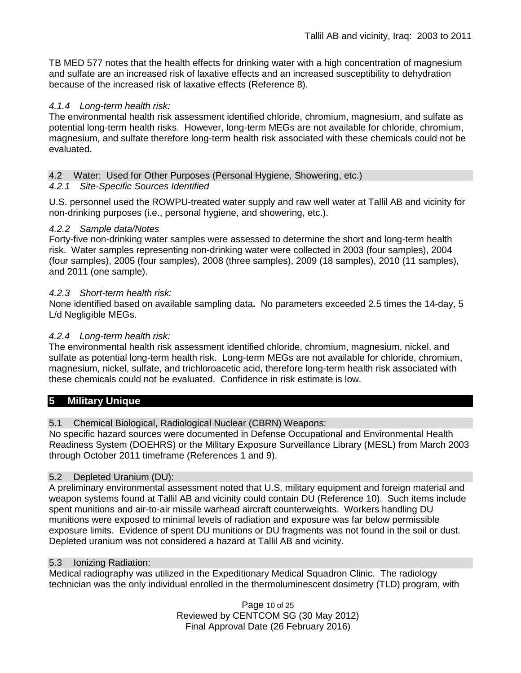TB MED 577 notes that the health effects for drinking water with a high concentration of magnesium and sulfate are an increased risk of laxative effects and an increased susceptibility to dehydration because of the increased risk of laxative effects (Reference 8).

### *4.1.4 Long-term health risk:*

The environmental health risk assessment identified chloride, chromium, magnesium, and sulfate as potential long-term health risks. However, long-term MEGs are not available for chloride, chromium, magnesium, and sulfate therefore long-term health risk associated with these chemicals could not be evaluated.

### 4.2 Water: Used for Other Purposes (Personal Hygiene, Showering, etc.)

### *4.2.1 Site-Specific Sources Identified*

U.S. personnel used the ROWPU-treated water supply and raw well water at Tallil AB and vicinity for non-drinking purposes (i.e., personal hygiene, and showering, etc.).

### *4.2.2 Sample data/Notes*

Forty-five non-drinking water samples were assessed to determine the short and long-term health risk. Water samples representing non-drinking water were collected in 2003 (four samples), 2004 (four samples), 2005 (four samples), 2008 (three samples), 2009 (18 samples), 2010 (11 samples), and 2011 (one sample).

### *4.2.3 Short-term health risk:*

None identified based on available sampling data**.** No parameters exceeded 2.5 times the 14-day, 5 L/d Negligible MEGs.

### *4.2.4 Long-term health risk:*

The environmental health risk assessment identified chloride, chromium, magnesium, nickel, and sulfate as potential long-term health risk. Long-term MEGs are not available for chloride, chromium, magnesium, nickel, sulfate, and trichloroacetic acid, therefore long-term health risk associated with these chemicals could not be evaluated. Confidence in risk estimate is low.

# **5 Military Unique**

# 5.1 Chemical Biological, Radiological Nuclear (CBRN) Weapons:

No specific hazard sources were documented in Defense Occupational and Environmental Health Readiness System (DOEHRS) or the Military Exposure Surveillance Library (MESL) from March 2003 through October 2011 timeframe (References 1 and 9).

### 5.2 Depleted Uranium (DU):

A preliminary environmental assessment noted that U.S. military equipment and foreign material and weapon systems found at Tallil AB and vicinity could contain DU (Reference 10). Such items include spent munitions and air-to-air missile warhead aircraft counterweights. Workers handling DU munitions were exposed to minimal levels of radiation and exposure was far below permissible exposure limits. Evidence of spent DU munitions or DU fragments was not found in the soil or dust. Depleted uranium was not considered a hazard at Tallil AB and vicinity.

### 5.3 Ionizing Radiation:

Medical radiography was utilized in the Expeditionary Medical Squadron Clinic. The radiology technician was the only individual enrolled in the thermoluminescent dosimetry (TLD) program, with

> Page 10 of 25 Reviewed by CENTCOM SG (30 May 2012) Final Approval Date (26 February 2016)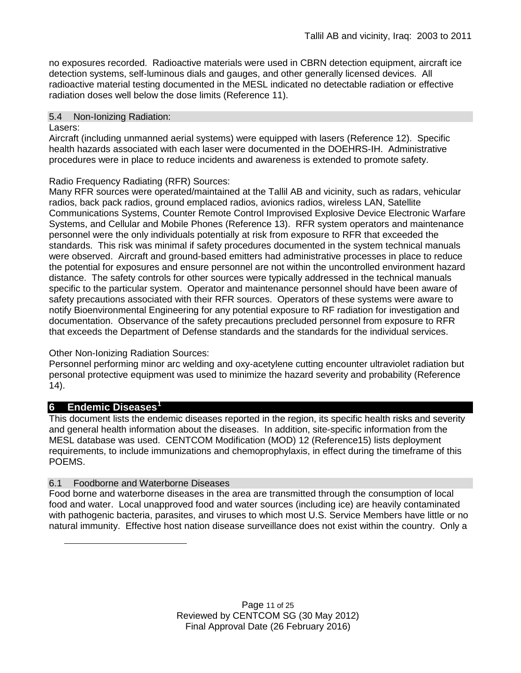no exposures recorded. Radioactive materials were used in CBRN detection equipment, aircraft ice detection systems, self-luminous dials and gauges, and other generally licensed devices. All radioactive material testing documented in the MESL indicated no detectable radiation or effective radiation doses well below the dose limits (Reference 11).

### 5.4 Non-Ionizing Radiation:

### Lasers:

Aircraft (including unmanned aerial systems) were equipped with lasers (Reference 12). Specific health hazards associated with each laser were documented in the DOEHRS-IH. Administrative procedures were in place to reduce incidents and awareness is extended to promote safety.

# Radio Frequency Radiating (RFR) Sources:

Many RFR sources were operated/maintained at the Tallil AB and vicinity, such as radars, vehicular radios, back pack radios, ground emplaced radios, avionics radios, wireless LAN, Satellite Communications Systems, Counter Remote Control Improvised Explosive Device Electronic Warfare Systems, and Cellular and Mobile Phones (Reference 13). RFR system operators and maintenance personnel were the only individuals potentially at risk from exposure to RFR that exceeded the standards. This risk was minimal if safety procedures documented in the system technical manuals were observed. Aircraft and ground-based emitters had administrative processes in place to reduce the potential for exposures and ensure personnel are not within the uncontrolled environment hazard distance. The safety controls for other sources were typically addressed in the technical manuals specific to the particular system. Operator and maintenance personnel should have been aware of safety precautions associated with their RFR sources. Operators of these systems were aware to notify Bioenvironmental Engineering for any potential exposure to RF radiation for investigation and documentation. Observance of the safety precautions precluded personnel from exposure to RFR that exceeds the Department of Defense standards and the standards for the individual services.

# Other Non-Ionizing Radiation Sources:

Personnel performing minor arc welding and oxy-acetylene cutting encounter ultraviolet radiation but personal protective equipment was used to minimize the hazard severity and probability (Reference 14).

# **6 Endemic Diseases[1](#page-10-0)**

<span id="page-10-0"></span>-

This document lists the endemic diseases reported in the region, its specific health risks and severity and general health information about the diseases. In addition, site-specific information from the MESL database was used. CENTCOM Modification (MOD) 12 (Reference15) lists deployment requirements, to include immunizations and chemoprophylaxis, in effect during the timeframe of this POEMS.

# 6.1 Foodborne and Waterborne Diseases

Food borne and waterborne diseases in the area are transmitted through the consumption of local food and water. Local unapproved food and water sources (including ice) are heavily contaminated with pathogenic bacteria, parasites, and viruses to which most U.S. Service Members have little or no natural immunity. Effective host nation disease surveillance does not exist within the country. Only a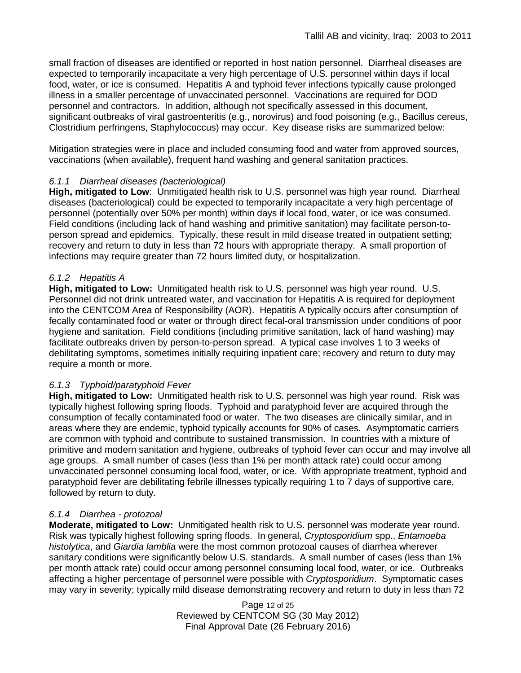small fraction of diseases are identified or reported in host nation personnel. Diarrheal diseases are expected to temporarily incapacitate a very high percentage of U.S. personnel within days if local food, water, or ice is consumed. Hepatitis A and typhoid fever infections typically cause prolonged illness in a smaller percentage of unvaccinated personnel. Vaccinations are required for DOD personnel and contractors. In addition, although not specifically assessed in this document, significant outbreaks of viral gastroenteritis (e.g., norovirus) and food poisoning (e.g., Bacillus cereus, Clostridium perfringens, Staphylococcus) may occur. Key disease risks are summarized below:

Mitigation strategies were in place and included consuming food and water from approved sources, vaccinations (when available), frequent hand washing and general sanitation practices.

### *6.1.1 Diarrheal diseases (bacteriological)*

**High, mitigated to Low**: Unmitigated health risk to U.S. personnel was high year round. Diarrheal diseases (bacteriological) could be expected to temporarily incapacitate a very high percentage of personnel (potentially over 50% per month) within days if local food, water, or ice was consumed. Field conditions (including lack of hand washing and primitive sanitation) may facilitate person-toperson spread and epidemics. Typically, these result in mild disease treated in outpatient setting; recovery and return to duty in less than 72 hours with appropriate therapy. A small proportion of infections may require greater than 72 hours limited duty, or hospitalization.

# *6.1.2 Hepatitis A*

**High, mitigated to Low:** Unmitigated health risk to U.S. personnel was high year round. U.S. Personnel did not drink untreated water, and vaccination for Hepatitis A is required for deployment into the CENTCOM Area of Responsibility (AOR). Hepatitis A typically occurs after consumption of fecally contaminated food or water or through direct fecal-oral transmission under conditions of poor hygiene and sanitation. Field conditions (including primitive sanitation, lack of hand washing) may facilitate outbreaks driven by person-to-person spread. A typical case involves 1 to 3 weeks of debilitating symptoms, sometimes initially requiring inpatient care; recovery and return to duty may require a month or more.

### *6.1.3 Typhoid/paratyphoid Fever*

**High, mitigated to Low:** Unmitigated health risk to U.S. personnel was high year round. Risk was typically highest following spring floods. Typhoid and paratyphoid fever are acquired through the consumption of fecally contaminated food or water. The two diseases are clinically similar, and in areas where they are endemic, typhoid typically accounts for 90% of cases. Asymptomatic carriers are common with typhoid and contribute to sustained transmission. In countries with a mixture of primitive and modern sanitation and hygiene, outbreaks of typhoid fever can occur and may involve all age groups. A small number of cases (less than 1% per month attack rate) could occur among unvaccinated personnel consuming local food, water, or ice. With appropriate treatment, typhoid and paratyphoid fever are debilitating febrile illnesses typically requiring 1 to 7 days of supportive care, followed by return to duty.

### *6.1.4 Diarrhea - protozoal*

**Moderate, mitigated to Low:** Unmitigated health risk to U.S. personnel was moderate year round. Risk was typically highest following spring floods. In general, *Cryptosporidium* spp., *Entamoeba histolytica*, and *Giardia lamblia* were the most common protozoal causes of diarrhea wherever sanitary conditions were significantly below U.S. standards. A small number of cases (less than 1% per month attack rate) could occur among personnel consuming local food, water, or ice. Outbreaks affecting a higher percentage of personnel were possible with *Cryptosporidium*. Symptomatic cases may vary in severity; typically mild disease demonstrating recovery and return to duty in less than 72

> Page 12 of 25 Reviewed by CENTCOM SG (30 May 2012) Final Approval Date (26 February 2016)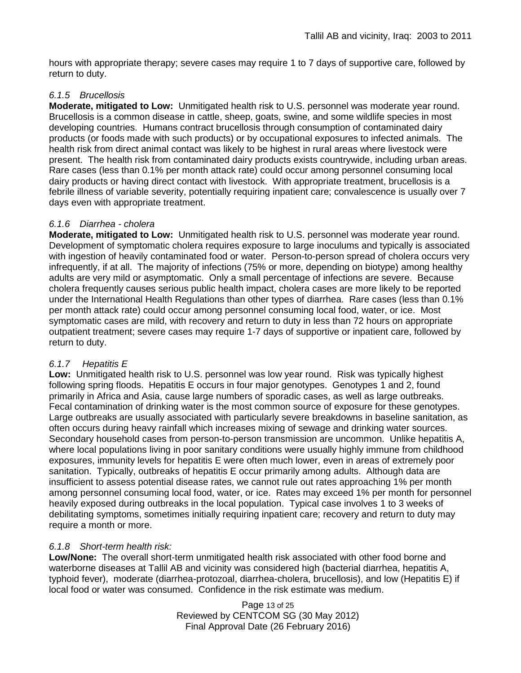hours with appropriate therapy; severe cases may require 1 to 7 days of supportive care, followed by return to duty.

### *6.1.5 Brucellosis*

**Moderate, mitigated to Low:** Unmitigated health risk to U.S. personnel was moderate year round. Brucellosis is a common disease in cattle, sheep, goats, swine, and some wildlife species in most developing countries. Humans contract brucellosis through consumption of contaminated dairy products (or foods made with such products) or by occupational exposures to infected animals. The health risk from direct animal contact was likely to be highest in rural areas where livestock were present. The health risk from contaminated dairy products exists countrywide, including urban areas. Rare cases (less than 0.1% per month attack rate) could occur among personnel consuming local dairy products or having direct contact with livestock. With appropriate treatment, brucellosis is a febrile illness of variable severity, potentially requiring inpatient care; convalescence is usually over 7 days even with appropriate treatment.

### *6.1.6 Diarrhea - cholera*

**Moderate, mitigated to Low:** Unmitigated health risk to U.S. personnel was moderate year round. Development of symptomatic cholera requires exposure to large inoculums and typically is associated with ingestion of heavily contaminated food or water. Person-to-person spread of cholera occurs very infrequently, if at all. The majority of infections (75% or more, depending on biotype) among healthy adults are very mild or asymptomatic. Only a small percentage of infections are severe. Because cholera frequently causes serious public health impact, cholera cases are more likely to be reported under the International Health Regulations than other types of diarrhea. Rare cases (less than 0.1% per month attack rate) could occur among personnel consuming local food, water, or ice. Most symptomatic cases are mild, with recovery and return to duty in less than 72 hours on appropriate outpatient treatment; severe cases may require 1-7 days of supportive or inpatient care, followed by return to duty.

### *6.1.7 Hepatitis E*

**Low:** Unmitigated health risk to U.S. personnel was low year round. Risk was typically highest following spring floods. Hepatitis E occurs in four major genotypes. Genotypes 1 and 2, found primarily in Africa and Asia, cause large numbers of sporadic cases, as well as large outbreaks. Fecal contamination of drinking water is the most common source of exposure for these genotypes. Large outbreaks are usually associated with particularly severe breakdowns in baseline sanitation, as often occurs during heavy rainfall which increases mixing of sewage and drinking water sources. Secondary household cases from person-to-person transmission are uncommon. Unlike hepatitis A, where local populations living in poor sanitary conditions were usually highly immune from childhood exposures, immunity levels for hepatitis E were often much lower, even in areas of extremely poor sanitation. Typically, outbreaks of hepatitis E occur primarily among adults. Although data are insufficient to assess potential disease rates, we cannot rule out rates approaching 1% per month among personnel consuming local food, water, or ice. Rates may exceed 1% per month for personnel heavily exposed during outbreaks in the local population. Typical case involves 1 to 3 weeks of debilitating symptoms, sometimes initially requiring inpatient care; recovery and return to duty may require a month or more.

# *6.1.8 Short-term health risk:*

**Low/None:** The overall short-term unmitigated health risk associated with other food borne and waterborne diseases at Tallil AB and vicinity was considered high (bacterial diarrhea, hepatitis A, typhoid fever), moderate (diarrhea-protozoal, diarrhea-cholera, brucellosis), and low (Hepatitis E) if local food or water was consumed. Confidence in the risk estimate was medium.

> Page 13 of 25 Reviewed by CENTCOM SG (30 May 2012) Final Approval Date (26 February 2016)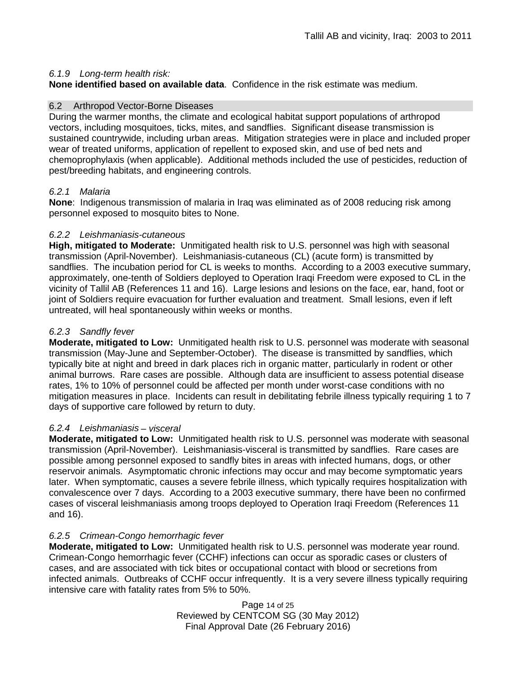### *6.1.9 Long-term health risk:*

**None identified based on available data**.Confidence in the risk estimate was medium.

#### 6.2 Arthropod Vector-Borne Diseases

During the warmer months, the climate and ecological habitat support populations of arthropod vectors, including mosquitoes, ticks, mites, and sandflies. Significant disease transmission is sustained countrywide, including urban areas. Mitigation strategies were in place and included proper wear of treated uniforms, application of repellent to exposed skin, and use of bed nets and chemoprophylaxis (when applicable). Additional methods included the use of pesticides, reduction of pest/breeding habitats, and engineering controls.

### *6.2.1 Malaria*

**None**: Indigenous transmission of malaria in Iraq was eliminated as of 2008 reducing risk among personnel exposed to mosquito bites to None.

#### *6.2.2 Leishmaniasis-cutaneous*

**High, mitigated to Moderate:** Unmitigated health risk to U.S. personnel was high with seasonal transmission (April-November). Leishmaniasis-cutaneous (CL) (acute form) is transmitted by sandflies. The incubation period for CL is weeks to months. According to a 2003 executive summary, approximately, one-tenth of Soldiers deployed to Operation Iraqi Freedom were exposed to CL in the vicinity of Tallil AB (References 11 and 16). Large lesions and lesions on the face, ear, hand, foot or joint of Soldiers require evacuation for further evaluation and treatment. Small lesions, even if left untreated, will heal spontaneously within weeks or months.

#### *6.2.3 Sandfly fever*

**Moderate, mitigated to Low:** Unmitigated health risk to U.S. personnel was moderate with seasonal transmission (May-June and September-October). The disease is transmitted by sandflies, which typically bite at night and breed in dark places rich in organic matter, particularly in rodent or other animal burrows. Rare cases are possible. Although data are insufficient to assess potential disease rates, 1% to 10% of personnel could be affected per month under worst-case conditions with no mitigation measures in place. Incidents can result in debilitating febrile illness typically requiring 1 to 7 days of supportive care followed by return to duty.

### *6.2.4 Leishmaniasis – visceral*

**Moderate, mitigated to Low:** Unmitigated health risk to U.S. personnel was moderate with seasonal transmission (April-November). Leishmaniasis-visceral is transmitted by sandflies. Rare cases are possible among personnel exposed to sandfly bites in areas with infected humans, dogs, or other reservoir animals. Asymptomatic chronic infections may occur and may become symptomatic years later.When symptomatic, causes a severe febrile illness, which typically requires hospitalization with convalescence over 7 days. According to a 2003 executive summary, there have been no confirmed cases of visceral leishmaniasis among troops deployed to Operation Iraqi Freedom (References 11 and 16).

### *6.2.5 Crimean-Congo hemorrhagic fever*

**Moderate, mitigated to Low:** Unmitigated health risk to U.S. personnel was moderate year round. Crimean-Congo hemorrhagic fever (CCHF) infections can occur as sporadic cases or clusters of cases, and are associated with tick bites or occupational contact with blood or secretions from infected animals. Outbreaks of CCHF occur infrequently. It is a very severe illness typically requiring intensive care with fatality rates from 5% to 50%.

> Page 14 of 25 Reviewed by CENTCOM SG (30 May 2012) Final Approval Date (26 February 2016)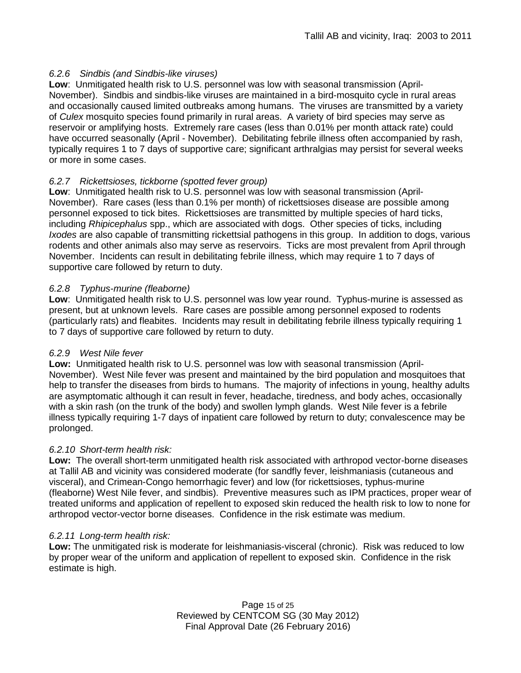### *6.2.6 Sindbis (and Sindbis-like viruses)*

**Low**: Unmitigated health risk to U.S. personnel was low with seasonal transmission (April-November). Sindbis and sindbis-like viruses are maintained in a bird-mosquito cycle in rural areas and occasionally caused limited outbreaks among humans. The viruses are transmitted by a variety of *Culex* mosquito species found primarily in rural areas. A variety of bird species may serve as reservoir or amplifying hosts. Extremely rare cases (less than 0.01% per month attack rate) could have occurred seasonally (April - November). Debilitating febrile illness often accompanied by rash, typically requires 1 to 7 days of supportive care; significant arthralgias may persist for several weeks or more in some cases.

# *6.2.7 Rickettsioses, tickborne (spotted fever group)*

**Low**: Unmitigated health risk to U.S. personnel was low with seasonal transmission (April-November). Rare cases (less than 0.1% per month) of rickettsioses disease are possible among personnel exposed to tick bites. Rickettsioses are transmitted by multiple species of hard ticks, including *Rhipicephalus* spp., which are associated with dogs. Other species of ticks, including *Ixodes* are also capable of transmitting rickettsial pathogens in this group. In addition to dogs, various rodents and other animals also may serve as reservoirs. Ticks are most prevalent from April through November. Incidents can result in debilitating febrile illness, which may require 1 to 7 days of supportive care followed by return to duty.

### *6.2.8 Typhus-murine (fleaborne)*

**Low**: Unmitigated health risk to U.S. personnel was low year round. Typhus-murine is assessed as present, but at unknown levels. Rare cases are possible among personnel exposed to rodents (particularly rats) and fleabites. Incidents may result in debilitating febrile illness typically requiring 1 to 7 days of supportive care followed by return to duty.

### *6.2.9 West Nile fever*

**Low:** Unmitigated health risk to U.S. personnel was low with seasonal transmission (April-November). West Nile fever was present and maintained by the bird population and mosquitoes that help to transfer the diseases from birds to humans. The majority of infections in young, healthy adults are asymptomatic although it can result in fever, headache, tiredness, and body aches, occasionally with a skin rash (on the trunk of the body) and swollen lymph glands. West Nile fever is a febrile illness typically requiring 1-7 days of inpatient care followed by return to duty; convalescence may be prolonged.

# *6.2.10 Short-term health risk:*

**Low:** The overall short-term unmitigated health risk associated with arthropod vector-borne diseases at Tallil AB and vicinity was considered moderate (for sandfly fever, leishmaniasis (cutaneous and visceral), and Crimean-Congo hemorrhagic fever) and low (for rickettsioses, typhus-murine (fleaborne) West Nile fever, and sindbis). Preventive measures such as IPM practices, proper wear of treated uniforms and application of repellent to exposed skin reduced the health risk to low to none for arthropod vector-vector borne diseases. Confidence in the risk estimate was medium.

### *6.2.11 Long-term health risk:*

**Low:** The unmitigated risk is moderate for leishmaniasis-visceral (chronic). Risk was reduced to low by proper wear of the uniform and application of repellent to exposed skin. Confidence in the risk estimate is high.

> Page 15 of 25 Reviewed by CENTCOM SG (30 May 2012) Final Approval Date (26 February 2016)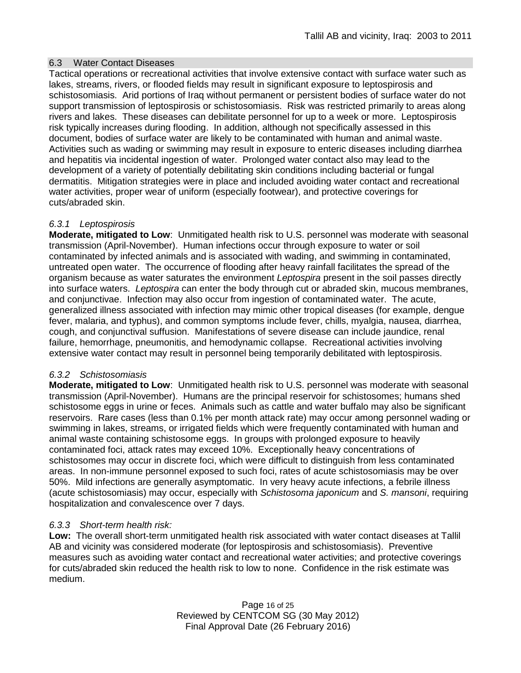### 6.3 Water Contact Diseases

Tactical operations or recreational activities that involve extensive contact with surface water such as lakes, streams, rivers, or flooded fields may result in significant exposure to leptospirosis and schistosomiasis. Arid portions of Iraq without permanent or persistent bodies of surface water do not support transmission of leptospirosis or schistosomiasis. Risk was restricted primarily to areas along rivers and lakes. These diseases can debilitate personnel for up to a week or more. Leptospirosis risk typically increases during flooding. In addition, although not specifically assessed in this document, bodies of surface water are likely to be contaminated with human and animal waste. Activities such as wading or swimming may result in exposure to enteric diseases including diarrhea and hepatitis via incidental ingestion of water. Prolonged water contact also may lead to the development of a variety of potentially debilitating skin conditions including bacterial or fungal dermatitis. Mitigation strategies were in place and included avoiding water contact and recreational water activities, proper wear of uniform (especially footwear), and protective coverings for cuts/abraded skin.

### *6.3.1 Leptospirosis*

**Moderate, mitigated to Low**: Unmitigated health risk to U.S. personnel was moderate with seasonal transmission (April-November). Human infections occur through exposure to water or soil contaminated by infected animals and is associated with wading, and swimming in contaminated, untreated open water. The occurrence of flooding after heavy rainfall facilitates the spread of the organism because as water saturates the environment *Leptospira* present in the soil passes directly into surface waters. *Leptospira* can enter the body through cut or abraded skin, mucous membranes, and conjunctivae. Infection may also occur from ingestion of contaminated water. The acute, generalized illness associated with infection may mimic other tropical diseases (for example, dengue fever, malaria, and typhus), and common symptoms include fever, chills, myalgia, nausea, diarrhea, cough, and conjunctival suffusion. Manifestations of severe disease can include jaundice, renal failure, hemorrhage, pneumonitis, and hemodynamic collapse. Recreational activities involving extensive water contact may result in personnel being temporarily debilitated with leptospirosis.

### *6.3.2 Schistosomiasis*

**Moderate, mitigated to Low**: Unmitigated health risk to U.S. personnel was moderate with seasonal transmission (April-November). Humans are the principal reservoir for schistosomes; humans shed schistosome eggs in urine or feces. Animals such as cattle and water buffalo may also be significant reservoirs. Rare cases (less than 0.1% per month attack rate) may occur among personnel wading or swimming in lakes, streams, or irrigated fields which were frequently contaminated with human and animal waste containing schistosome eggs. In groups with prolonged exposure to heavily contaminated foci, attack rates may exceed 10%. Exceptionally heavy concentrations of schistosomes may occur in discrete foci, which were difficult to distinguish from less contaminated areas. In non-immune personnel exposed to such foci, rates of acute schistosomiasis may be over 50%. Mild infections are generally asymptomatic. In very heavy acute infections, a febrile illness (acute schistosomiasis) may occur, especially with *Schistosoma japonicum* and *S. mansoni*, requiring hospitalization and convalescence over 7 days.

# *6.3.3 Short-term health risk:*

**Low:** The overall short-term unmitigated health risk associated with water contact diseases at Tallil AB and vicinity was considered moderate (for leptospirosis and schistosomiasis). Preventive measures such as avoiding water contact and recreational water activities; and protective coverings for cuts/abraded skin reduced the health risk to low to none. Confidence in the risk estimate was medium.

> Page 16 of 25 Reviewed by CENTCOM SG (30 May 2012) Final Approval Date (26 February 2016)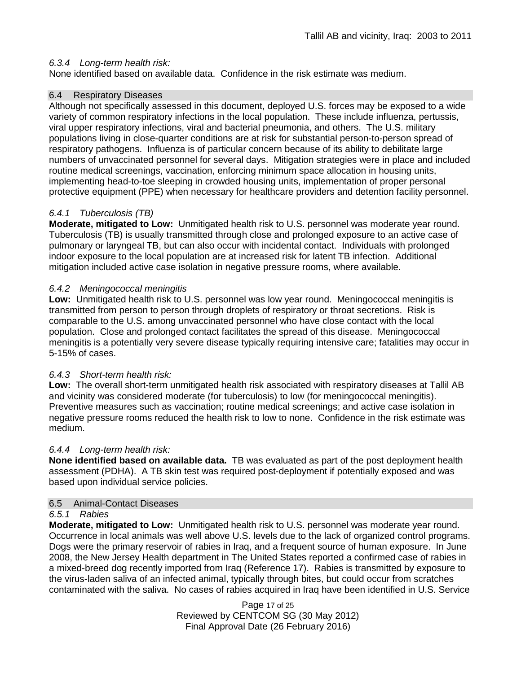### *6.3.4 Long-term health risk:*

None identified based on available data. Confidence in the risk estimate was medium.

### 6.4 Respiratory Diseases

Although not specifically assessed in this document, deployed U.S. forces may be exposed to a wide variety of common respiratory infections in the local population. These include influenza, pertussis, viral upper respiratory infections, viral and bacterial pneumonia, and others. The U.S. military populations living in close-quarter conditions are at risk for substantial person-to-person spread of respiratory pathogens. Influenza is of particular concern because of its ability to debilitate large numbers of unvaccinated personnel for several days. Mitigation strategies were in place and included routine medical screenings, vaccination, enforcing minimum space allocation in housing units, implementing head-to-toe sleeping in crowded housing units, implementation of proper personal protective equipment (PPE) when necessary for healthcare providers and detention facility personnel.

### *6.4.1 Tuberculosis (TB)*

**Moderate, mitigated to Low:** Unmitigated health risk to U.S. personnel was moderate year round. Tuberculosis (TB) is usually transmitted through close and prolonged exposure to an active case of pulmonary or laryngeal TB, but can also occur with incidental contact. Individuals with prolonged indoor exposure to the local population are at increased risk for latent TB infection. Additional mitigation included active case isolation in negative pressure rooms, where available.

### *6.4.2 Meningococcal meningitis*

**Low:** Unmitigated health risk to U.S. personnel was low year round. Meningococcal meningitis is transmitted from person to person through droplets of respiratory or throat secretions. Risk is comparable to the U.S. among unvaccinated personnel who have close contact with the local population. Close and prolonged contact facilitates the spread of this disease. Meningococcal meningitis is a potentially very severe disease typically requiring intensive care; fatalities may occur in 5-15% of cases.

### *6.4.3 Short-term health risk:*

**Low:** The overall short-term unmitigated health risk associated with respiratory diseases at Tallil AB and vicinity was considered moderate (for tuberculosis) to low (for meningococcal meningitis). Preventive measures such as vaccination; routine medical screenings; and active case isolation in negative pressure rooms reduced the health risk to low to none. Confidence in the risk estimate was medium.

### *6.4.4 Long-term health risk:*

**None identified based on available data.** TB was evaluated as part of the post deployment health assessment (PDHA). A TB skin test was required post-deployment if potentially exposed and was based upon individual service policies.

### 6.5 Animal-Contact Diseases

### *6.5.1 Rabies*

**Moderate, mitigated to Low:** Unmitigated health risk to U.S. personnel was moderate year round. Occurrence in local animals was well above U.S. levels due to the lack of organized control programs. Dogs were the primary reservoir of rabies in Iraq, and a frequent source of human exposure. In June 2008, the New Jersey Health department in The United States reported a confirmed case of rabies in a mixed-breed dog recently imported from Iraq (Reference 17). Rabies is transmitted by exposure to the virus-laden saliva of an infected animal, typically through bites, but could occur from scratches contaminated with the saliva. No cases of rabies acquired in Iraq have been identified in U.S. Service

> Page 17 of 25 Reviewed by CENTCOM SG (30 May 2012) Final Approval Date (26 February 2016)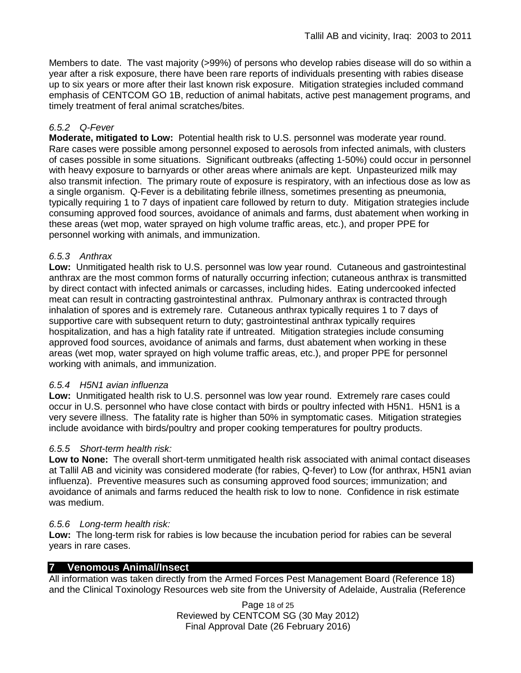Members to date. The vast majority (>99%) of persons who develop rabies disease will do so within a year after a risk exposure, there have been rare reports of individuals presenting with rabies disease up to six years or more after their last known risk exposure. Mitigation strategies included command emphasis of CENTCOM GO 1B, reduction of animal habitats, active pest management programs, and timely treatment of feral animal scratches/bites.

### *6.5.2 Q-Fever*

**Moderate, mitigated to Low:** Potential health risk to U.S. personnel was moderate year round. Rare cases were possible among personnel exposed to aerosols from infected animals, with clusters of cases possible in some situations. Significant outbreaks (affecting 1-50%) could occur in personnel with heavy exposure to barnyards or other areas where animals are kept. Unpasteurized milk may also transmit infection. The primary route of exposure is respiratory, with an infectious dose as low as a single organism. Q-Fever is a debilitating febrile illness, sometimes presenting as pneumonia, typically requiring 1 to 7 days of inpatient care followed by return to duty. Mitigation strategies include consuming approved food sources, avoidance of animals and farms, dust abatement when working in these areas (wet mop, water sprayed on high volume traffic areas, etc.), and proper PPE for personnel working with animals, and immunization.

### *6.5.3 Anthrax*

**Low:** Unmitigated health risk to U.S. personnel was low year round. Cutaneous and gastrointestinal anthrax are the most common forms of naturally occurring infection; cutaneous anthrax is transmitted by direct contact with infected animals or carcasses, including hides. Eating undercooked infected meat can result in contracting gastrointestinal anthrax. Pulmonary anthrax is contracted through inhalation of spores and is extremely rare. Cutaneous anthrax typically requires 1 to 7 days of supportive care with subsequent return to duty; gastrointestinal anthrax typically requires hospitalization, and has a high fatality rate if untreated. Mitigation strategies include consuming approved food sources, avoidance of animals and farms, dust abatement when working in these areas (wet mop, water sprayed on high volume traffic areas, etc.), and proper PPE for personnel working with animals, and immunization.

### *6.5.4 H5N1 avian influenza*

**Low:** Unmitigated health risk to U.S. personnel was low year round. Extremely rare cases could occur in U.S. personnel who have close contact with birds or poultry infected with H5N1. H5N1 is a very severe illness. The fatality rate is higher than 50% in symptomatic cases. Mitigation strategies include avoidance with birds/poultry and proper cooking temperatures for poultry products.

# *6.5.5 Short-term health risk:*

**Low to None:** The overall short-term unmitigated health risk associated with animal contact diseases at Tallil AB and vicinity was considered moderate (for rabies, Q-fever) to Low (for anthrax, H5N1 avian influenza). Preventive measures such as consuming approved food sources; immunization; and avoidance of animals and farms reduced the health risk to low to none. Confidence in risk estimate was medium.

### *6.5.6 Long-term health risk:*

**Low:** The long-term risk for rabies is low because the incubation period for rabies can be several years in rare cases.

# **7 Venomous Animal/Insect**

All information was taken directly from the Armed Forces Pest Management Board (Reference 18) and the Clinical Toxinology Resources web site from the University of Adelaide, Australia (Reference

> Page 18 of 25 Reviewed by CENTCOM SG (30 May 2012) Final Approval Date (26 February 2016)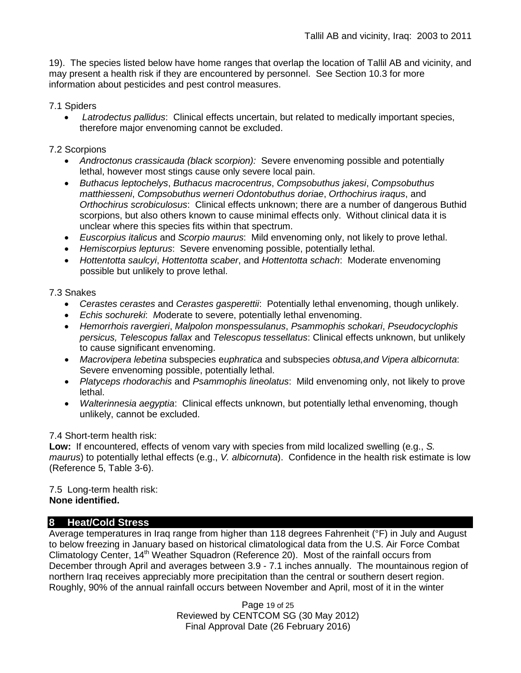19). The species listed below have home ranges that overlap the location of Tallil AB and vicinity, and may present a health risk if they are encountered by personnel. See Section 10.3 for more information about pesticides and pest control measures.

### 7.1 Spiders

• *Latrodectus pallidus*: Clinical effects uncertain, but related to medically important species, therefore major envenoming cannot be excluded.

### 7.2 Scorpions

- *Androctonus crassicauda (black scorpion):* Severe envenoming possible and potentially lethal, however most stings cause only severe local pain.
- *Buthacus leptochelys*, *Buthacus macrocentrus*, *Compsobuthus jakesi*, *Compsobuthus matthiesseni*, *Compsobuthus werneri Odontobuthus doriae*, *Orthochirus iraqus*, and *Orthochirus scrobiculosus*: Clinical effects unknown; there are a number of dangerous Buthid scorpions, but also others known to cause minimal effects only. Without clinical data it is unclear where this species fits within that spectrum.
- *Euscorpius italicus* and *Scorpio maurus*: Mild envenoming only, not likely to prove lethal.
- *Hemiscorpius lepturus*: Severe envenoming possible, potentially lethal.
- *Hottentotta saulcyi*, *Hottentotta scaber*, and *Hottentotta schach*: Moderate envenoming possible but unlikely to prove lethal.

### 7.3 Snakes

- *Cerastes cerastes* and *Cerastes gasperettii*: Potentially lethal envenoming, though unlikely.
- *Echis sochureki*: *M*oderate to severe, potentially lethal envenoming.
- *Hemorrhois ravergieri*, *Malpolon monspessulanus*, *Psammophis schokari*, *Pseudocyclophis persicus, Telescopus fallax* and *Telescopus tessellatus*: Clinical effects unknown, but unlikely to cause significant envenoming.
- *Macrovipera lebetina* subspecies e*uphratica* and subspecies *obtusa,and Vipera albicornuta*: Severe envenoming possible, potentially lethal.
- *Platyceps rhodorachis* and *Psammophis lineolatus*: Mild envenoming only, not likely to prove lethal.
- *Walterinnesia aegyptia*: Clinical effects unknown, but potentially lethal envenoming, though unlikely, cannot be excluded.

# 7.4 Short-term health risk:

**Low:** If encountered, effects of venom vary with species from mild localized swelling (e.g., *S. maurus*) to potentially lethal effects (e.g., *V. albicornuta*). Confidence in the health risk estimate is low (Reference 5, Table 3-6).

7.5 Long-term health risk: **None identified.**

# **8 Heat/Cold Stress**

Average temperatures in Iraq range from higher than 118 degrees Fahrenheit (°F) in July and August to below freezing in January based on historical climatological data from the U.S. Air Force Combat Climatology Center, 14<sup>th</sup> Weather Squadron (Reference 20). Most of the rainfall occurs from December through April and averages between 3.9 - 7.1 inches annually. The mountainous region of northern Iraq receives appreciably more precipitation than the central or southern desert region. Roughly, 90% of the annual rainfall occurs between November and April, most of it in the winter

> Page 19 of 25 Reviewed by CENTCOM SG (30 May 2012) Final Approval Date (26 February 2016)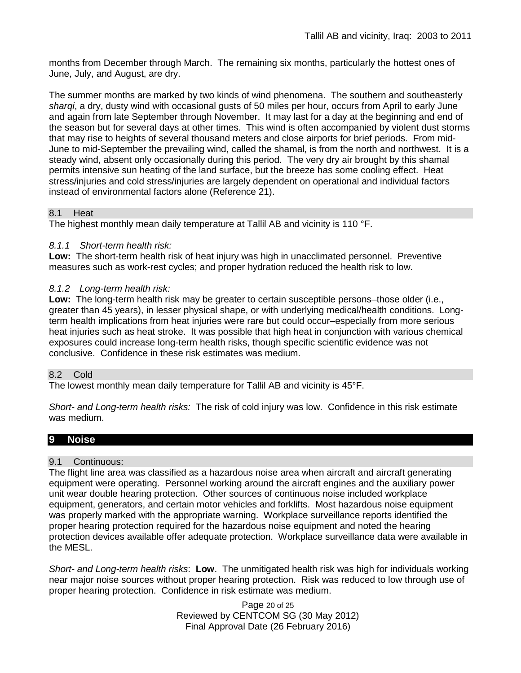months from December through March. The remaining six months, particularly the hottest ones of June, July, and August, are dry.

The summer months are marked by two kinds of wind phenomena. The southern and southeasterly *sharqi*, a dry, dusty wind with occasional gusts of 50 miles per hour, occurs from April to early June and again from late September through November. It may last for a day at the beginning and end of the season but for several days at other times. This wind is often accompanied by violent dust storms that may rise to heights of several thousand meters and close airports for brief periods. From mid-June to mid-September the prevailing wind, called the shamal, is from the north and northwest. It is a steady wind, absent only occasionally during this period. The very dry air brought by this shamal permits intensive sun heating of the land surface, but the breeze has some cooling effect. Heat stress/injuries and cold stress/injuries are largely dependent on operational and individual factors instead of environmental factors alone (Reference 21).

### 8.1 Heat

The highest monthly mean daily temperature at Tallil AB and vicinity is 110 °F.

### *8.1.1 Short-term health risk:*

**Low:** The short-term health risk of heat injury was high in unacclimated personnel. Preventive measures such as work-rest cycles; and proper hydration reduced the health risk to low.

### *8.1.2 Long-term health risk:*

**Low:** The long-term health risk may be greater to certain susceptible persons–those older (i.e., greater than 45 years), in lesser physical shape, or with underlying medical/health conditions. Longterm health implications from heat injuries were rare but could occur–especially from more serious heat injuries such as heat stroke.It was possible that high heat in conjunction with various chemical exposures could increase long-term health risks, though specific scientific evidence was not conclusive. Confidence in these risk estimates was medium.

### 8.2 Cold

The lowest monthly mean daily temperature for Tallil AB and vicinity is 45°F.

*Short- and Long-term health risks:* The risk of cold injury was low. Confidence in this risk estimate was medium.

# **9 Noise**

### 9.1 Continuous:

The flight line area was classified as a hazardous noise area when aircraft and aircraft generating equipment were operating. Personnel working around the aircraft engines and the auxiliary power unit wear double hearing protection. Other sources of continuous noise included workplace equipment, generators, and certain motor vehicles and forklifts. Most hazardous noise equipment was properly marked with the appropriate warning. Workplace surveillance reports identified the proper hearing protection required for the hazardous noise equipment and noted the hearing protection devices available offer adequate protection. Workplace surveillance data were available in the MESL.

*Short- and Long-term health risks*: **Low**. The unmitigated health risk was high for individuals working near major noise sources without proper hearing protection. Risk was reduced to low through use of proper hearing protection. Confidence in risk estimate was medium.

> Page 20 of 25 Reviewed by CENTCOM SG (30 May 2012) Final Approval Date (26 February 2016)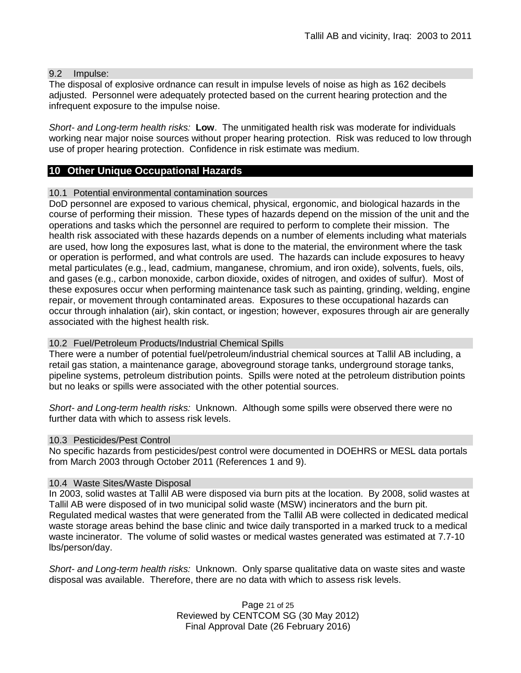### 9.2 Impulse:

The disposal of explosive ordnance can result in impulse levels of noise as high as 162 decibels adjusted. Personnel were adequately protected based on the current hearing protection and the infrequent exposure to the impulse noise.

*Short- and Long-term health risks:* **Low**. The unmitigated health risk was moderate for individuals working near major noise sources without proper hearing protection. Risk was reduced to low through use of proper hearing protection. Confidence in risk estimate was medium.

### **10 Other Unique Occupational Hazards**

#### 10.1 Potential environmental contamination sources

DoD personnel are exposed to various chemical, physical, ergonomic, and biological hazards in the course of performing their mission. These types of hazards depend on the mission of the unit and the operations and tasks which the personnel are required to perform to complete their mission. The health risk associated with these hazards depends on a number of elements including what materials are used, how long the exposures last, what is done to the material, the environment where the task or operation is performed, and what controls are used. The hazards can include exposures to heavy metal particulates (e.g., lead, cadmium, manganese, chromium, and iron oxide), solvents, fuels, oils, and gases (e.g., carbon monoxide, carbon dioxide, oxides of nitrogen, and oxides of sulfur). Most of these exposures occur when performing maintenance task such as painting, grinding, welding, engine repair, or movement through contaminated areas. Exposures to these occupational hazards can occur through inhalation (air), skin contact, or ingestion; however, exposures through air are generally associated with the highest health risk.

### 10.2 Fuel/Petroleum Products/Industrial Chemical Spills

There were a number of potential fuel/petroleum/industrial chemical sources at Tallil AB including, a retail gas station, a maintenance garage, aboveground storage tanks, underground storage tanks, pipeline systems, petroleum distribution points. Spills were noted at the petroleum distribution points but no leaks or spills were associated with the other potential sources.

*Short- and Long-term health risks:* Unknown. Although some spills were observed there were no further data with which to assess risk levels.

### 10.3 Pesticides/Pest Control

No specific hazards from pesticides/pest control were documented in DOEHRS or MESL data portals from March 2003 through October 2011 (References 1 and 9).

#### 10.4 Waste Sites/Waste Disposal

In 2003, solid wastes at Tallil AB were disposed via burn pits at the location. By 2008, solid wastes at Tallil AB were disposed of in two municipal solid waste (MSW) incinerators and the burn pit. Regulated medical wastes that were generated from the Tallil AB were collected in dedicated medical waste storage areas behind the base clinic and twice daily transported in a marked truck to a medical waste incinerator. The volume of solid wastes or medical wastes generated was estimated at 7.7-10 lbs/person/day.

*Short- and Long-term health risks:* Unknown. Only sparse qualitative data on waste sites and waste disposal was available. Therefore, there are no data with which to assess risk levels.

> Page 21 of 25 Reviewed by CENTCOM SG (30 May 2012) Final Approval Date (26 February 2016)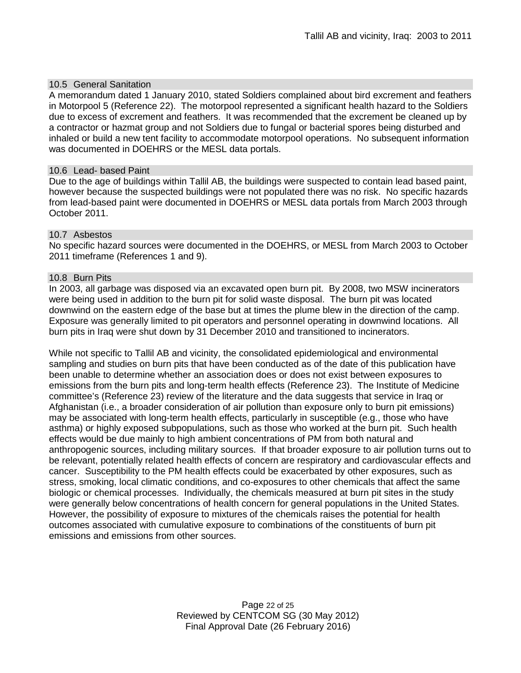### 10.5 General Sanitation

A memorandum dated 1 January 2010, stated Soldiers complained about bird excrement and feathers in Motorpool 5 (Reference 22). The motorpool represented a significant health hazard to the Soldiers due to excess of excrement and feathers. It was recommended that the excrement be cleaned up by a contractor or hazmat group and not Soldiers due to fungal or bacterial spores being disturbed and inhaled or build a new tent facility to accommodate motorpool operations. No subsequent information was documented in DOEHRS or the MESL data portals.

#### 10.6 Lead- based Paint

Due to the age of buildings within Tallil AB, the buildings were suspected to contain lead based paint, however because the suspected buildings were not populated there was no risk. No specific hazards from lead-based paint were documented in DOEHRS or MESL data portals from March 2003 through October 2011.

### 10.7 Asbestos

No specific hazard sources were documented in the DOEHRS, or MESL from March 2003 to October 2011 timeframe (References 1 and 9).

### 10.8 Burn Pits

In 2003, all garbage was disposed via an excavated open burn pit. By 2008, two MSW incinerators were being used in addition to the burn pit for solid waste disposal. The burn pit was located downwind on the eastern edge of the base but at times the plume blew in the direction of the camp. Exposure was generally limited to pit operators and personnel operating in downwind locations. All burn pits in Iraq were shut down by 31 December 2010 and transitioned to incinerators.

While not specific to Tallil AB and vicinity, the consolidated epidemiological and environmental sampling and studies on burn pits that have been conducted as of the date of this publication have been unable to determine whether an association does or does not exist between exposures to emissions from the burn pits and long-term health effects (Reference 23). The Institute of Medicine committee's (Reference 23) review of the literature and the data suggests that service in Iraq or Afghanistan (i.e., a broader consideration of air pollution than exposure only to burn pit emissions) may be associated with long-term health effects, particularly in susceptible (e.g., those who have asthma) or highly exposed subpopulations, such as those who worked at the burn pit. Such health effects would be due mainly to high ambient concentrations of PM from both natural and anthropogenic sources, including military sources. If that broader exposure to air pollution turns out to be relevant, potentially related health effects of concern are respiratory and cardiovascular effects and cancer. Susceptibility to the PM health effects could be exacerbated by other exposures, such as stress, smoking, local climatic conditions, and co-exposures to other chemicals that affect the same biologic or chemical processes. Individually, the chemicals measured at burn pit sites in the study were generally below concentrations of health concern for general populations in the United States. However, the possibility of exposure to mixtures of the chemicals raises the potential for health outcomes associated with cumulative exposure to combinations of the constituents of burn pit emissions and emissions from other sources.

> Page 22 of 25 Reviewed by CENTCOM SG (30 May 2012) Final Approval Date (26 February 2016)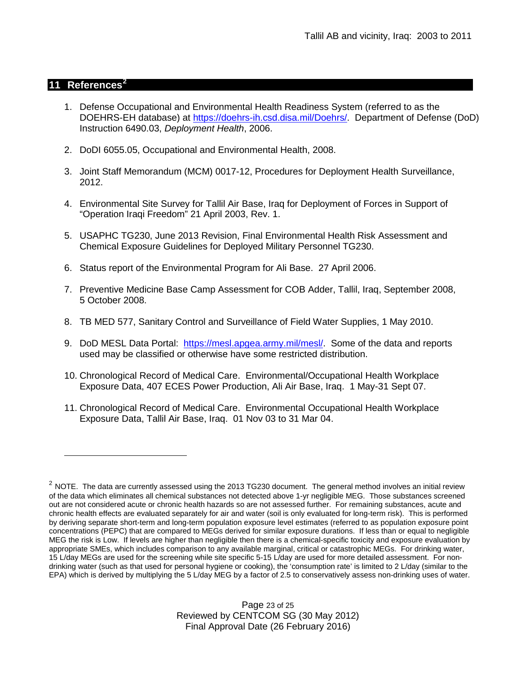### **11 References[2](#page-22-0)**

 $\overline{a}$ 

- 1. Defense Occupational and Environmental Health Readiness System (referred to as the DOEHRS-EH database) at [https://doehrs-ih.csd.disa.mil/Doehrs/.](https://doehrs-ih.csd.disa.mil/Doehrs/)Department of Defense (DoD) Instruction 6490.03, *Deployment Health*, 2006.
- 2. DoDI 6055.05, Occupational and Environmental Health, 2008.
- 3. Joint Staff Memorandum (MCM) 0017-12, Procedures for Deployment Health Surveillance, 2012.
- 4. Environmental Site Survey for Tallil Air Base, Iraq for Deployment of Forces in Support of "Operation Iraqi Freedom" 21 April 2003, Rev. 1.
- 5. USAPHC TG230, June 2013 Revision, Final Environmental Health Risk Assessment and Chemical Exposure Guidelines for Deployed Military Personnel TG230.
- 6. Status report of the Environmental Program for Ali Base. 27 April 2006.
- 7. Preventive Medicine Base Camp Assessment for COB Adder, Tallil, Iraq, September 2008, 5 October 2008.
- 8. TB MED 577, Sanitary Control and Surveillance of Field Water Supplies, 1 May 2010.
- 9. DoD MESL Data Portal: [https://mesl.apgea.army.mil/mesl/.](https://mesl.apgea.army.mil/mesl/) Some of the data and reports used may be classified or otherwise have some restricted distribution.
- 10. Chronological Record of Medical Care. Environmental/Occupational Health Workplace Exposure Data, 407 ECES Power Production, Ali Air Base, Iraq. 1 May-31 Sept 07.
- 11. Chronological Record of Medical Care. Environmental Occupational Health Workplace Exposure Data, Tallil Air Base, Iraq. 01 Nov 03 to 31 Mar 04.

<span id="page-22-0"></span> $2$  NOTE. The data are currently assessed using the 2013 TG230 document. The general method involves an initial review of the data which eliminates all chemical substances not detected above 1-yr negligible MEG. Those substances screened out are not considered acute or chronic health hazards so are not assessed further. For remaining substances, acute and chronic health effects are evaluated separately for air and water (soil is only evaluated for long-term risk). This is performed by deriving separate short-term and long-term population exposure level estimates (referred to as population exposure point concentrations (PEPC) that are compared to MEGs derived for similar exposure durations. If less than or equal to negligible MEG the risk is Low. If levels are higher than negligible then there is a chemical-specific toxicity and exposure evaluation by appropriate SMEs, which includes comparison to any available marginal, critical or catastrophic MEGs. For drinking water, 15 L/day MEGs are used for the screening while site specific 5-15 L/day are used for more detailed assessment. For nondrinking water (such as that used for personal hygiene or cooking), the 'consumption rate' is limited to 2 L/day (similar to the EPA) which is derived by multiplying the 5 L/day MEG by a factor of 2.5 to conservatively assess non-drinking uses of water.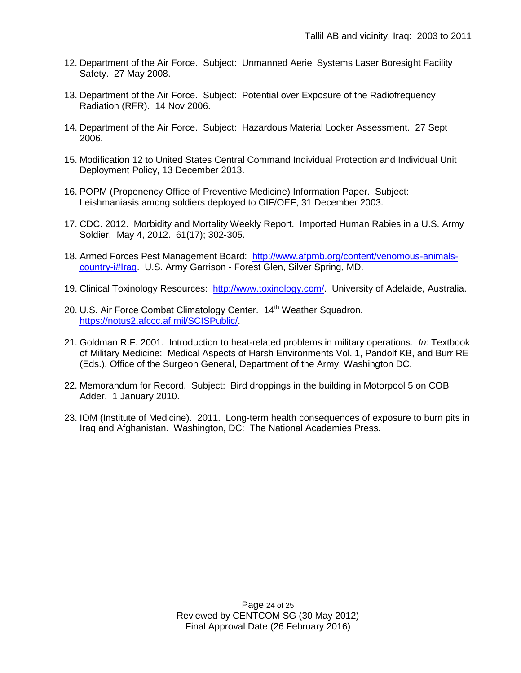- 12. Department of the Air Force. Subject: Unmanned Aeriel Systems Laser Boresight Facility Safety. 27 May 2008.
- 13. Department of the Air Force. Subject: Potential over Exposure of the Radiofrequency Radiation (RFR). 14 Nov 2006.
- 14. Department of the Air Force. Subject: Hazardous Material Locker Assessment. 27 Sept 2006.
- 15. Modification 12 to United States Central Command Individual Protection and Individual Unit Deployment Policy, 13 December 2013.
- 16. POPM (Propenency Office of Preventive Medicine) Information Paper. Subject: Leishmaniasis among soldiers deployed to OIF/OEF, 31 December 2003.
- 17. CDC. 2012. Morbidity and Mortality Weekly Report. Imported Human Rabies in a U.S. Army Soldier. May 4, 2012. 61(17); 302-305.
- 18. Armed Forces Pest Management Board: [http://www.afpmb.org/content/venomous-animals](http://www.afpmb.org/content/venomous-animals-country-i%23Iraq)[country-i#Iraq.](http://www.afpmb.org/content/venomous-animals-country-i%23Iraq) U.S. Army Garrison - Forest Glen, Silver Spring, MD.
- 19. Clinical Toxinology Resources: [http://www.toxinology.com/.](http://www.toxinology.com/) University of Adelaide, Australia.
- 20. U.S. Air Force Combat Climatology Center. 14<sup>th</sup> Weather Squadron. [https://notus2.afccc.af.mil/SCISPublic/.](https://notus2.afccc.af.mil/SCISPublic/)
- 21. Goldman R.F. 2001. Introduction to heat-related problems in military operations. *In*: Textbook of Military Medicine: Medical Aspects of Harsh Environments Vol. 1, Pandolf KB, and Burr RE (Eds.), Office of the Surgeon General, Department of the Army, Washington DC.
- 22. Memorandum for Record. Subject: Bird droppings in the building in Motorpool 5 on COB Adder. 1 January 2010.
- 23. IOM (Institute of Medicine). 2011. Long-term health consequences of exposure to burn pits in Iraq and Afghanistan. Washington, DC: The National Academies Press.

Page 24 of 25 Reviewed by CENTCOM SG (30 May 2012) Final Approval Date (26 February 2016)